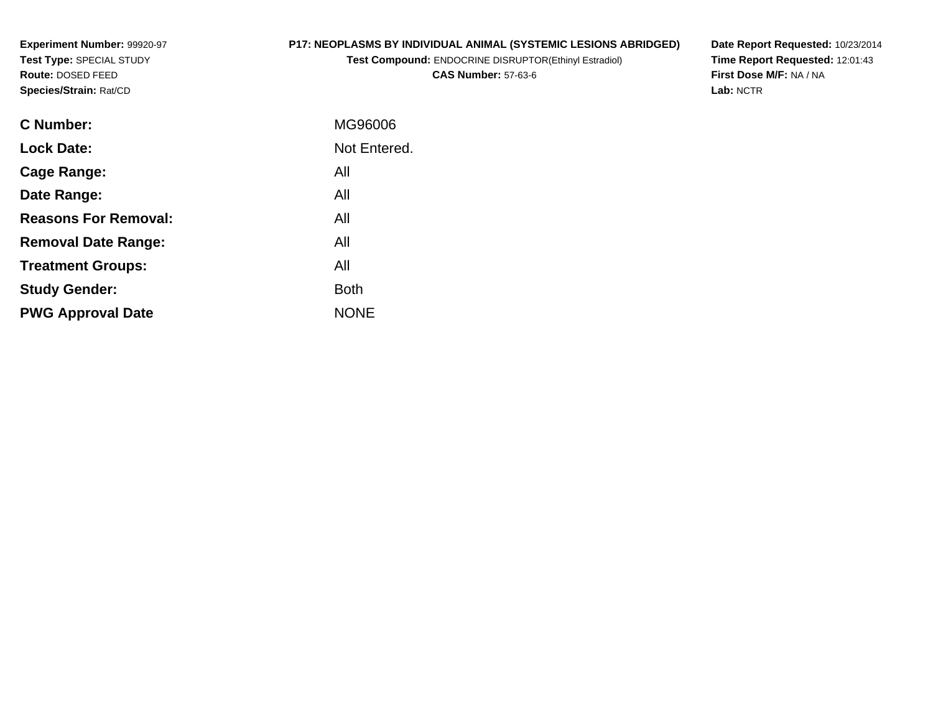**Experiment Number:** 99920-97**Test Type:** SPECIAL STUDY**Route:** DOSED FEED**Species/Strain:** Rat/CD

# **P17: NEOPLASMS BY INDIVIDUAL ANIMAL (SYSTEMIC LESIONS ABRIDGED)**

**Test Compound:** ENDOCRINE DISRUPTOR(Ethinyl Estradiol)**CAS Number:** 57-63-6

**Date Report Requested:** 10/23/2014 **Time Report Requested:** 12:01:43**First Dose M/F:** NA / NA**Lab:** NCTR

| <b>C</b> Number:            | MG96006      |
|-----------------------------|--------------|
| <b>Lock Date:</b>           | Not Entered. |
| Cage Range:                 | All          |
| Date Range:                 | All          |
| <b>Reasons For Removal:</b> | All          |
| <b>Removal Date Range:</b>  | All          |
| <b>Treatment Groups:</b>    | All          |
| <b>Study Gender:</b>        | <b>Both</b>  |
| <b>PWG Approval Date</b>    | <b>NONE</b>  |
|                             |              |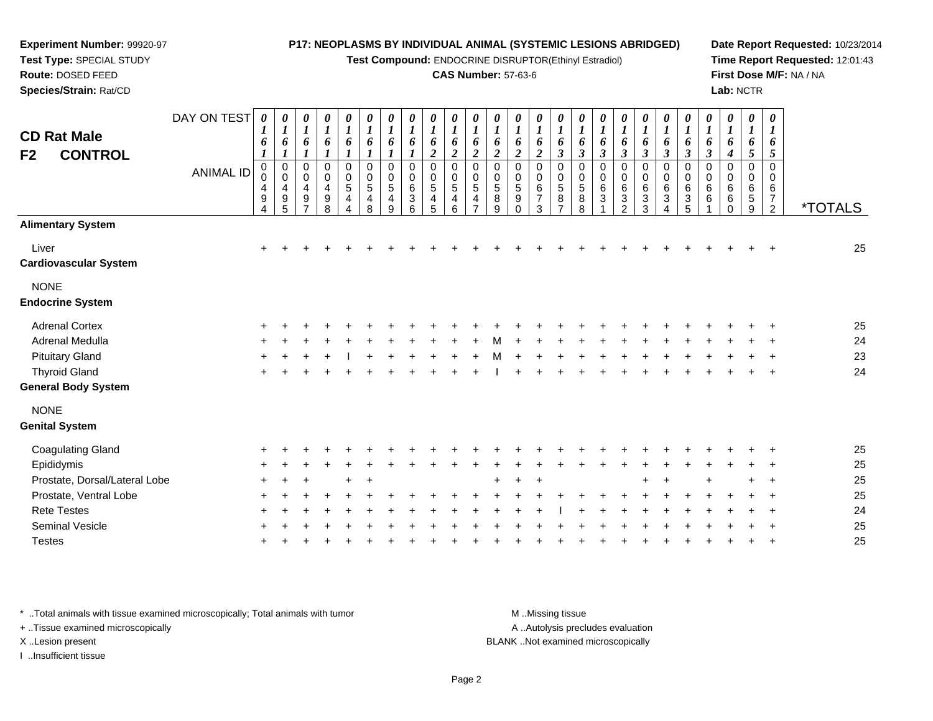**Test Compound:** ENDOCRINE DISRUPTOR(Ethinyl Estradiol)

#### **CAS Number:** 57-63-6

**Date Report Requested:** 10/23/2014**Time Report Requested:** 12:01:43**First Dose M/F:** NA / NA**Lab:** NCTR

| <b>CD Rat Male</b><br><b>CONTROL</b><br>F2 | DAY ON TEST<br><b>ANIMAL ID</b> | 0<br>1<br>6<br>1<br>$\mathbf 0$<br>4<br>9<br>4 | 0<br>$\boldsymbol{l}$<br>6<br>$\pmb{0}$<br>$\mathbf 0$<br>4<br>$\boldsymbol{9}$<br>5 | 0<br>$\boldsymbol{l}$<br>6<br>$\mathbf{I}$<br>$\pmb{0}$<br>$\pmb{0}$<br>4<br>$\boldsymbol{9}$ | $\begin{matrix} 0 \\ 1 \end{matrix}$<br>6<br>$\boldsymbol{l}$<br>0<br>0<br>$\overline{4}$<br>$\boldsymbol{9}$<br>8 | 0<br>$\boldsymbol{l}$<br>6<br>$\pmb{0}$<br>0<br>$\mathbf 5$<br>$\overline{4}$<br>4 | 0<br>$\boldsymbol{l}$<br>6<br>$\boldsymbol{l}$<br>$\pmb{0}$<br>$\mathbf 0$<br>$\sqrt{5}$<br>4<br>8 | $\frac{\theta}{I}$<br>6<br>$\pmb{0}$<br>$\mathbf 0$<br>5<br>$\overline{4}$<br>9 | 0<br>$\boldsymbol{l}$<br>6<br>$\mathbf 0$<br>$\Omega$<br>6<br>3<br>6 | 0<br>$\boldsymbol{l}$<br>6<br>2<br>$\mathbf 0$<br>$\Omega$<br>5<br>4<br>5 | 0<br>6<br>$\overline{2}$<br>$\mathbf 0$<br>$\Omega$<br>5<br>4<br>6 | 0<br>6<br>$\overline{2}$<br>$\mathbf 0$<br>$\mathbf 0$<br>$\sqrt{5}$<br>4 | 0<br>6<br>$\overline{2}$<br>0<br>$\mathbf 0$<br>5<br>$8\phantom{1}$<br>9 | 0<br>$\boldsymbol{l}$<br>6<br>$\boldsymbol{2}$<br>$\mathbf 0$<br>0<br>$\sqrt{5}$<br>9<br>$\Omega$ | 0<br>$\boldsymbol{l}$<br>6<br>$\boldsymbol{2}$<br>$\mathbf 0$<br>$\mathbf 0$<br>$\,6$<br>$\overline{7}$<br>3 | 0<br>$\boldsymbol{l}$<br>6<br>$\boldsymbol{\beta}$<br>$\pmb{0}$<br>0<br>$\overline{5}$<br>8<br>7 | 0<br>$\boldsymbol{l}$<br>6<br>$\mathfrak{z}$<br>$\mathbf 0$<br>0<br>5<br>8<br>8 | 0<br>$\boldsymbol{l}$<br>6<br>$\boldsymbol{\beta}$<br>$\mathbf 0$<br>0<br>6<br>3 | 1<br>6<br>$\boldsymbol{\beta}$<br>$\mathbf 0$<br>0<br>6<br>$\sqrt{3}$<br>$\mathcal{P}$ | 0<br>1<br>6<br>$\boldsymbol{\beta}$<br>$\mathbf 0$<br>0<br>6<br>3<br>3 | 0<br>6<br>$\boldsymbol{\beta}$<br>0<br>0<br>6<br>$\ensuremath{\mathsf{3}}$ | 0<br>$\boldsymbol{l}$<br>6<br>$\boldsymbol{\beta}$<br>$\mathbf 0$<br>0<br>6<br>$\ensuremath{\mathsf{3}}$<br>5 | 0<br>$\boldsymbol{l}$<br>6<br>$\boldsymbol{\beta}$<br>0<br>0<br>$\,6\,$<br>6 | 0<br>$\boldsymbol{l}$<br>6<br>4<br>$\mathbf 0$<br>$\mathbf 0$<br>6<br>6<br>U | 0<br>$\boldsymbol{l}$<br>6<br>5<br>$\mathbf 0$<br>0<br>6<br>$\,$ 5 $\,$<br>9 | $\boldsymbol{\theta}$<br>-1<br>6<br>5<br>$\Omega$<br>$\Omega$<br>6<br>$\overline{7}$<br>$\overline{2}$ | <i><b>*TOTALS</b></i> |
|--------------------------------------------|---------------------------------|------------------------------------------------|--------------------------------------------------------------------------------------|-----------------------------------------------------------------------------------------------|--------------------------------------------------------------------------------------------------------------------|------------------------------------------------------------------------------------|----------------------------------------------------------------------------------------------------|---------------------------------------------------------------------------------|----------------------------------------------------------------------|---------------------------------------------------------------------------|--------------------------------------------------------------------|---------------------------------------------------------------------------|--------------------------------------------------------------------------|---------------------------------------------------------------------------------------------------|--------------------------------------------------------------------------------------------------------------|--------------------------------------------------------------------------------------------------|---------------------------------------------------------------------------------|----------------------------------------------------------------------------------|----------------------------------------------------------------------------------------|------------------------------------------------------------------------|----------------------------------------------------------------------------|---------------------------------------------------------------------------------------------------------------|------------------------------------------------------------------------------|------------------------------------------------------------------------------|------------------------------------------------------------------------------|--------------------------------------------------------------------------------------------------------|-----------------------|
| <b>Alimentary System</b>                   |                                 |                                                |                                                                                      |                                                                                               |                                                                                                                    |                                                                                    |                                                                                                    |                                                                                 |                                                                      |                                                                           |                                                                    |                                                                           |                                                                          |                                                                                                   |                                                                                                              |                                                                                                  |                                                                                 |                                                                                  |                                                                                        |                                                                        |                                                                            |                                                                                                               |                                                                              |                                                                              |                                                                              |                                                                                                        |                       |
| Liver<br><b>Cardiovascular System</b>      |                                 | $\ddot{}$                                      |                                                                                      |                                                                                               |                                                                                                                    |                                                                                    |                                                                                                    |                                                                                 |                                                                      |                                                                           |                                                                    |                                                                           |                                                                          |                                                                                                   |                                                                                                              |                                                                                                  |                                                                                 |                                                                                  |                                                                                        |                                                                        |                                                                            |                                                                                                               |                                                                              |                                                                              |                                                                              |                                                                                                        | 25                    |
| <b>NONE</b><br><b>Endocrine System</b>     |                                 |                                                |                                                                                      |                                                                                               |                                                                                                                    |                                                                                    |                                                                                                    |                                                                                 |                                                                      |                                                                           |                                                                    |                                                                           |                                                                          |                                                                                                   |                                                                                                              |                                                                                                  |                                                                                 |                                                                                  |                                                                                        |                                                                        |                                                                            |                                                                                                               |                                                                              |                                                                              |                                                                              |                                                                                                        |                       |
| <b>Adrenal Cortex</b>                      |                                 |                                                |                                                                                      |                                                                                               |                                                                                                                    |                                                                                    |                                                                                                    |                                                                                 |                                                                      |                                                                           |                                                                    |                                                                           |                                                                          |                                                                                                   |                                                                                                              |                                                                                                  |                                                                                 |                                                                                  |                                                                                        |                                                                        |                                                                            |                                                                                                               |                                                                              |                                                                              |                                                                              |                                                                                                        | 25                    |
| Adrenal Medulla                            |                                 |                                                |                                                                                      |                                                                                               |                                                                                                                    |                                                                                    |                                                                                                    |                                                                                 |                                                                      |                                                                           |                                                                    |                                                                           |                                                                          |                                                                                                   |                                                                                                              |                                                                                                  |                                                                                 |                                                                                  |                                                                                        |                                                                        |                                                                            |                                                                                                               |                                                                              |                                                                              |                                                                              |                                                                                                        | 24                    |
| <b>Pituitary Gland</b>                     |                                 |                                                |                                                                                      |                                                                                               |                                                                                                                    |                                                                                    |                                                                                                    |                                                                                 |                                                                      |                                                                           |                                                                    |                                                                           |                                                                          |                                                                                                   |                                                                                                              |                                                                                                  |                                                                                 |                                                                                  |                                                                                        |                                                                        |                                                                            |                                                                                                               |                                                                              |                                                                              |                                                                              |                                                                                                        | 23                    |
| <b>Thyroid Gland</b>                       |                                 | ÷                                              |                                                                                      |                                                                                               |                                                                                                                    |                                                                                    |                                                                                                    |                                                                                 |                                                                      |                                                                           |                                                                    |                                                                           |                                                                          |                                                                                                   |                                                                                                              |                                                                                                  |                                                                                 |                                                                                  |                                                                                        |                                                                        |                                                                            |                                                                                                               |                                                                              |                                                                              |                                                                              | $\ddot{}$                                                                                              | 24                    |
| <b>General Body System</b>                 |                                 |                                                |                                                                                      |                                                                                               |                                                                                                                    |                                                                                    |                                                                                                    |                                                                                 |                                                                      |                                                                           |                                                                    |                                                                           |                                                                          |                                                                                                   |                                                                                                              |                                                                                                  |                                                                                 |                                                                                  |                                                                                        |                                                                        |                                                                            |                                                                                                               |                                                                              |                                                                              |                                                                              |                                                                                                        |                       |
| <b>NONE</b><br><b>Genital System</b>       |                                 |                                                |                                                                                      |                                                                                               |                                                                                                                    |                                                                                    |                                                                                                    |                                                                                 |                                                                      |                                                                           |                                                                    |                                                                           |                                                                          |                                                                                                   |                                                                                                              |                                                                                                  |                                                                                 |                                                                                  |                                                                                        |                                                                        |                                                                            |                                                                                                               |                                                                              |                                                                              |                                                                              |                                                                                                        |                       |
| <b>Coagulating Gland</b>                   |                                 |                                                |                                                                                      |                                                                                               |                                                                                                                    |                                                                                    |                                                                                                    |                                                                                 |                                                                      |                                                                           |                                                                    |                                                                           |                                                                          |                                                                                                   |                                                                                                              |                                                                                                  |                                                                                 |                                                                                  |                                                                                        |                                                                        |                                                                            |                                                                                                               |                                                                              |                                                                              |                                                                              |                                                                                                        | 25                    |
| Epididymis                                 |                                 |                                                |                                                                                      |                                                                                               |                                                                                                                    |                                                                                    |                                                                                                    |                                                                                 |                                                                      |                                                                           |                                                                    |                                                                           |                                                                          |                                                                                                   |                                                                                                              |                                                                                                  |                                                                                 |                                                                                  |                                                                                        |                                                                        |                                                                            |                                                                                                               |                                                                              |                                                                              |                                                                              |                                                                                                        | 25                    |
| Prostate, Dorsal/Lateral Lobe              |                                 |                                                |                                                                                      |                                                                                               |                                                                                                                    |                                                                                    |                                                                                                    |                                                                                 |                                                                      |                                                                           |                                                                    |                                                                           |                                                                          |                                                                                                   |                                                                                                              |                                                                                                  |                                                                                 |                                                                                  |                                                                                        |                                                                        |                                                                            |                                                                                                               |                                                                              |                                                                              |                                                                              |                                                                                                        | 25                    |
| Prostate, Ventral Lobe                     |                                 |                                                |                                                                                      |                                                                                               |                                                                                                                    |                                                                                    |                                                                                                    |                                                                                 |                                                                      |                                                                           |                                                                    |                                                                           |                                                                          |                                                                                                   |                                                                                                              |                                                                                                  |                                                                                 |                                                                                  |                                                                                        |                                                                        |                                                                            |                                                                                                               |                                                                              |                                                                              |                                                                              |                                                                                                        | 25                    |
| <b>Rete Testes</b>                         |                                 |                                                |                                                                                      |                                                                                               |                                                                                                                    |                                                                                    |                                                                                                    |                                                                                 |                                                                      |                                                                           |                                                                    |                                                                           |                                                                          |                                                                                                   |                                                                                                              |                                                                                                  |                                                                                 |                                                                                  |                                                                                        |                                                                        |                                                                            |                                                                                                               |                                                                              |                                                                              |                                                                              |                                                                                                        | 24                    |
| <b>Seminal Vesicle</b>                     |                                 |                                                |                                                                                      |                                                                                               |                                                                                                                    |                                                                                    |                                                                                                    |                                                                                 |                                                                      |                                                                           |                                                                    |                                                                           |                                                                          |                                                                                                   |                                                                                                              |                                                                                                  |                                                                                 |                                                                                  |                                                                                        |                                                                        |                                                                            |                                                                                                               |                                                                              |                                                                              |                                                                              |                                                                                                        | 25                    |
| <b>Testes</b>                              |                                 |                                                |                                                                                      |                                                                                               |                                                                                                                    |                                                                                    |                                                                                                    |                                                                                 |                                                                      |                                                                           |                                                                    |                                                                           |                                                                          |                                                                                                   |                                                                                                              |                                                                                                  |                                                                                 |                                                                                  |                                                                                        |                                                                        |                                                                            |                                                                                                               |                                                                              |                                                                              |                                                                              |                                                                                                        | 25                    |
|                                            |                                 |                                                |                                                                                      |                                                                                               |                                                                                                                    |                                                                                    |                                                                                                    |                                                                                 |                                                                      |                                                                           |                                                                    |                                                                           |                                                                          |                                                                                                   |                                                                                                              |                                                                                                  |                                                                                 |                                                                                  |                                                                                        |                                                                        |                                                                            |                                                                                                               |                                                                              |                                                                              |                                                                              |                                                                                                        |                       |

\* ..Total animals with tissue examined microscopically; Total animals with tumor **M** . Missing tissue M ..Missing tissue

+ ..Tissue examined microscopically

**Experiment Number:** 99920-97**Test Type:** SPECIAL STUDY**Route:** DOSED FEED**Species/Strain:** Rat/CD

I ..Insufficient tissue

A ..Autolysis precludes evaluation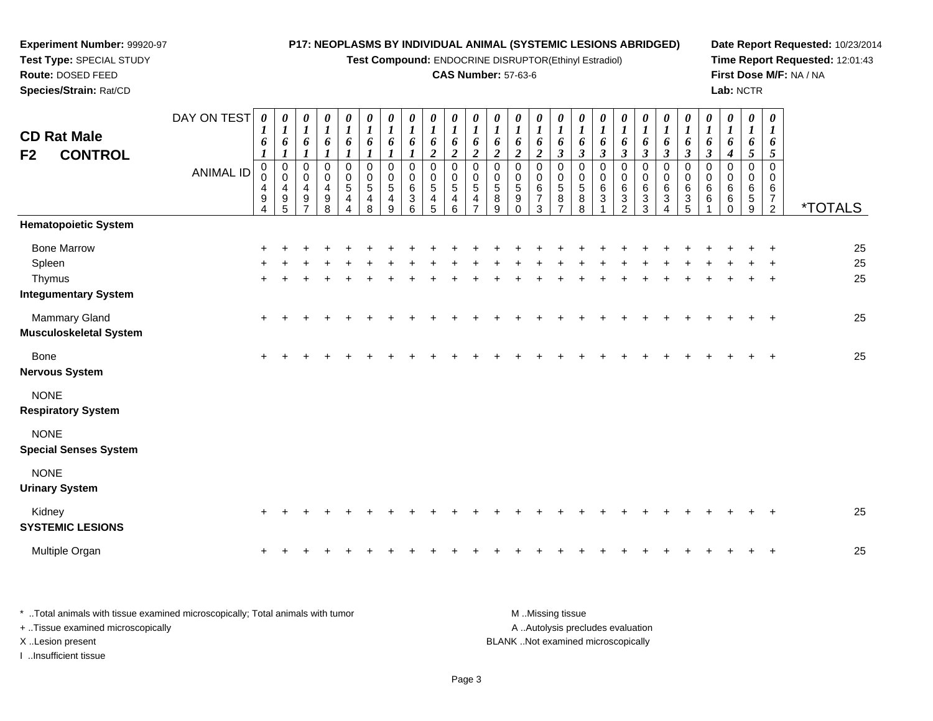#### **Experiment Number:** 99920-97**Test Type:** SPECIAL STUDY**Route:** DOSED FEED **Species/Strain:** Rat/CD**P17: NEOPLASMS BY INDIVIDUAL ANIMAL (SYSTEMIC LESIONS ABRIDGED)Test Compound:** ENDOCRINE DISRUPTOR(Ethinyl Estradiol)**CAS Number:** 57-63-6**Date Report Requested:** 10/23/2014**Time Report Requested:** 12:01:43**First Dose M/F:** NA / NA**Lab:** NCTRDAY ON TEST**CD Rat Male F2 CONTROL**ANIMAL ID*0 1 6 1* 0 0 4 9 4*0 1 6 1* 0 0 4 9 5*0 1 6 1* 0 0 4 9 7*0 1 6 1* 0 0 4 9 8*0 1 6 1* 0 0 5 4 4*0 1 6 1* 0 0 5 4 8*0 1 6 1* 0 0 5 4 9*0 1 6 1* 0 0 6 3 6*0 1 6 2* 0 0 5 4 5*0 1 6 2* 0 0 5 4 6*0 1 6 2* 0 0 5 4 7*0 1 6 2* 0 0 5 8 9*0 1 6 2* 0 0 5 9 0*0 1 6 2* 0 0 6 7 3*0 1 6 3* 0 0 5 8 7*0 1 6 3* 0 0 5 8 8*0 1 6 3* 0 0 6 3 1*0 1 6 3* 0 0 6 3 2*0 1 6 3* 0 0 6 3 3*0 1 6 3* 0 0 6 3 4*0 1 6 3* 0 0 6 3 5*0 1 6 3* 0 0 6 6 1*0 1 6 4* 0 0 6 6 0*0 1 6 5* 0 0 6 5 9*0 1 6 5* 0 0 67<br>^ <sup>2</sup> \*TOTALS**Hematopoietic System**Bone Marrow <sup>+</sup> <sup>+</sup> <sup>+</sup> <sup>+</sup> <sup>+</sup> <sup>+</sup> <sup>+</sup> <sup>+</sup> <sup>+</sup> <sup>+</sup> <sup>+</sup> <sup>+</sup> <sup>+</sup> <sup>+</sup> <sup>+</sup> <sup>+</sup> <sup>+</sup> <sup>+</sup> <sup>+</sup> <sup>+</sup> <sup>+</sup> <sup>+</sup> <sup>+</sup> <sup>+</sup> <sup>+</sup> <sup>25</sup> Spleenn  $+$  <sup>+</sup> <sup>+</sup> <sup>+</sup> <sup>+</sup> <sup>+</sup> <sup>+</sup> <sup>+</sup> <sup>+</sup> <sup>+</sup> <sup>+</sup> <sup>+</sup> <sup>+</sup> <sup>+</sup> <sup>+</sup> <sup>+</sup> <sup>+</sup> <sup>+</sup> <sup>+</sup> <sup>+</sup> <sup>+</sup> <sup>+</sup> <sup>+</sup> <sup>+</sup> <sup>+</sup> <sup>25</sup> Thymus <sup>+</sup> <sup>+</sup> <sup>+</sup> <sup>+</sup> <sup>+</sup> <sup>+</sup> <sup>+</sup> <sup>+</sup> <sup>+</sup> <sup>+</sup> <sup>+</sup> <sup>+</sup> <sup>+</sup> <sup>+</sup> <sup>+</sup> <sup>+</sup> <sup>+</sup> <sup>+</sup> <sup>+</sup> <sup>+</sup> <sup>+</sup> <sup>+</sup> <sup>+</sup> <sup>+</sup> <sup>+</sup> <sup>25</sup> **Integumentary System**Mammary Gland $\alpha$  + <sup>+</sup> <sup>+</sup> <sup>+</sup> <sup>+</sup> <sup>+</sup> <sup>+</sup> <sup>+</sup> <sup>+</sup> <sup>+</sup> <sup>+</sup> <sup>+</sup> <sup>+</sup> <sup>+</sup> <sup>+</sup> <sup>+</sup> <sup>+</sup> <sup>+</sup> <sup>+</sup> <sup>+</sup> <sup>+</sup> <sup>+</sup> <sup>+</sup> <sup>+</sup> <sup>+</sup> <sup>25</sup> **Musculoskeletal System**Bone $e$  + <sup>+</sup> <sup>+</sup> <sup>+</sup> <sup>+</sup> <sup>+</sup> <sup>+</sup> <sup>+</sup> <sup>+</sup> <sup>+</sup> <sup>+</sup> <sup>+</sup> <sup>+</sup> <sup>+</sup> <sup>+</sup> <sup>+</sup> <sup>+</sup> <sup>+</sup> <sup>+</sup> <sup>+</sup> <sup>+</sup> <sup>+</sup> <sup>+</sup> <sup>+</sup> <sup>+</sup> <sup>25</sup> **Nervous System**NONE **Respiratory System**NONE **Special Senses System**NONE **Urinary System**Kidney

| Kidney                  |  |  |  |  |  |  |  |  |  |  |  |  |  | 25 |
|-------------------------|--|--|--|--|--|--|--|--|--|--|--|--|--|----|
| <b>SYSTEMIC LESIONS</b> |  |  |  |  |  |  |  |  |  |  |  |  |  |    |
| Multiple Organ          |  |  |  |  |  |  |  |  |  |  |  |  |  | 25 |

| * Total animals with tissue examined microscopically; Total animals with tumor | M Missing tissue                   |
|--------------------------------------------------------------------------------|------------------------------------|
| + Tissue examined microscopically                                              | A Autolysis precludes evaluation   |
| X Lesion present                                                               | BLANK Not examined microscopically |
| …Insufficient tissue                                                           |                                    |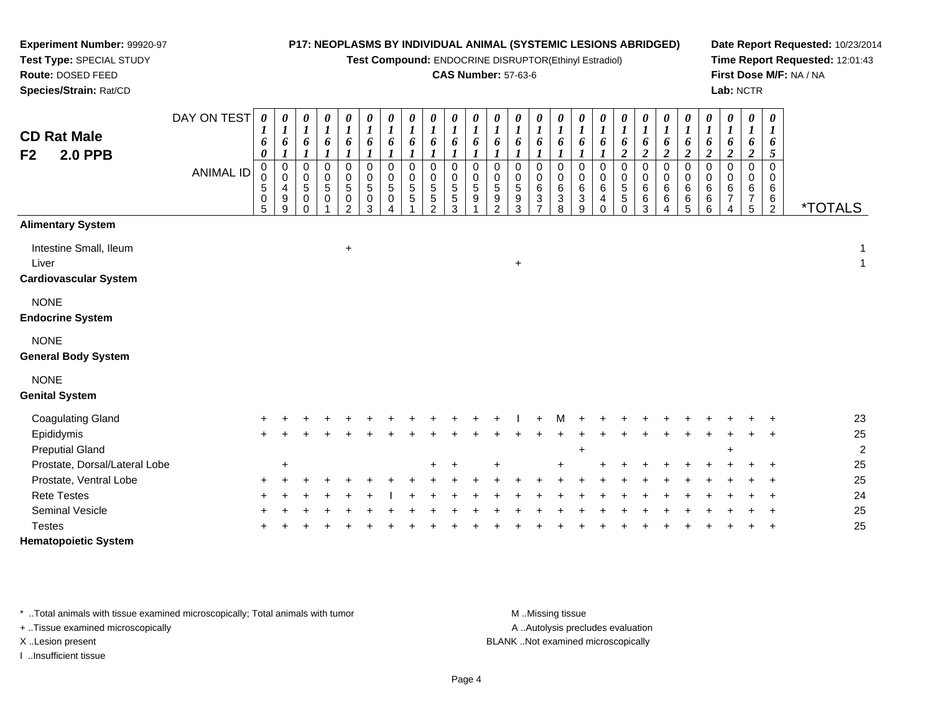**Test Compound:** ENDOCRINE DISRUPTOR(Ethinyl Estradiol)

### **CAS Number:** 57-63-6

**Date Report Requested:** 10/23/2014**Time Report Requested:** 12:01:43**First Dose M/F:** NA / NA**Lab:** NCTR

| <b>CD Rat Male</b><br>F2<br><b>2.0 PPB</b>                      | DAY ON TEST<br><b>ANIMAL ID</b> | 0<br>6<br>0<br>0<br>0<br>5<br>0 | 0<br>1<br>6<br>0<br>$\mathbf 0$<br>9 | 0<br>$\boldsymbol{l}$<br>6<br>$\pmb{0}$<br>$\pmb{0}$<br>$\sqrt{5}$<br>$\mathbf 0$ | 0<br>$\boldsymbol{l}$<br>6<br>0<br>0<br>5<br>$\Omega$ | $\boldsymbol{\theta}$<br>$\boldsymbol{l}$<br>6<br>$\boldsymbol{l}$<br>$\pmb{0}$<br>$\pmb{0}$<br>$\sqrt{5}$<br>0 | 0<br>$\boldsymbol{l}$<br>6<br>$\boldsymbol{l}$<br>$\mathbf 0$<br>$\mathbf 0$<br>$\sqrt{5}$<br>$\mathbf 0$ | $\boldsymbol{\theta}$<br>$\boldsymbol{l}$<br>6<br>$\boldsymbol{l}$<br>0<br>$\mathbf 0$<br>$\sqrt{5}$<br>0 | 0<br>$\boldsymbol{l}$<br>6<br>0<br>$\Omega$<br>5<br>5 | 0<br>$\boldsymbol{l}$<br>6<br>1<br>0<br>$\Omega$<br>5<br>5 | 0<br>$\boldsymbol{l}$<br>6<br>1<br>$\Omega$<br>$\Omega$<br>5<br>5 | 0<br>6<br>$\mathbf 0$<br>$\Omega$<br>5<br>9 | 0<br>6<br>0<br>0<br>5<br>9 | 0<br>1<br>6<br>0<br>$\mathbf 0$<br>$\sqrt{5}$<br>9 | 0<br>1<br>6<br>0<br>0<br>$\,6\,$<br>3 | 0<br>1<br>6<br>$\mathbf 0$<br>$\mathbf 0$<br>6<br>3 | 0<br>$\boldsymbol{l}$<br>6<br>0<br>0<br>$\,6\,$<br>$\ensuremath{\mathsf{3}}$ | $\boldsymbol{\theta}$<br>$\boldsymbol{l}$<br>6<br>0<br>$\mathbf 0$<br>6<br>4 | 0<br>$\boldsymbol{l}$<br>6<br>$\boldsymbol{2}$<br>0<br>$\mathbf 0$<br>$\sqrt{5}$<br>$\mathbf 5$ | 0<br>$\boldsymbol{l}$<br>6<br>$\overline{c}$<br>$\pmb{0}$<br>$\mathbf 0$<br>6<br>6 | 0<br>6<br>$\boldsymbol{2}$<br>$\pmb{0}$<br>$\pmb{0}$<br>$\,6$<br>$\,6$ | 0<br>6<br>$\overline{2}$<br>0<br>$\mathbf 0$<br>6 | 0<br>$\boldsymbol{l}$<br>6<br>$\overline{c}$<br>$\mathbf 0$<br>$\mathbf 0$<br>$\,6$<br>$\,6$ | 0<br>$\boldsymbol{l}$<br>6<br>$\boldsymbol{2}$<br>$\mathbf 0$<br>$\mathbf 0$<br>6<br>$\overline{7}$ | $\boldsymbol{\theta}$<br>$\boldsymbol{l}$<br>6<br>$\boldsymbol{2}$<br>0<br>0<br>$\,6$<br>$\overline{7}$ | $\boldsymbol{\theta}$<br>$\boldsymbol{l}$<br>6<br>5<br>$\Omega$<br>$\Omega$<br>6<br>6 |                       |                |
|-----------------------------------------------------------------|---------------------------------|---------------------------------|--------------------------------------|-----------------------------------------------------------------------------------|-------------------------------------------------------|-----------------------------------------------------------------------------------------------------------------|-----------------------------------------------------------------------------------------------------------|-----------------------------------------------------------------------------------------------------------|-------------------------------------------------------|------------------------------------------------------------|-------------------------------------------------------------------|---------------------------------------------|----------------------------|----------------------------------------------------|---------------------------------------|-----------------------------------------------------|------------------------------------------------------------------------------|------------------------------------------------------------------------------|-------------------------------------------------------------------------------------------------|------------------------------------------------------------------------------------|------------------------------------------------------------------------|---------------------------------------------------|----------------------------------------------------------------------------------------------|-----------------------------------------------------------------------------------------------------|---------------------------------------------------------------------------------------------------------|---------------------------------------------------------------------------------------|-----------------------|----------------|
|                                                                 |                                 | 5                               | 9                                    | $\Omega$                                                                          |                                                       | 2                                                                                                               | 3                                                                                                         |                                                                                                           |                                                       | $\mathfrak{p}$                                             | 3                                                                 |                                             | $\mathcal{P}$              | 3                                                  | 7                                     | 8                                                   | 9                                                                            | $\Omega$                                                                     | $\mathbf 0$                                                                                     | 3                                                                                  | Δ                                                                      | $^6_5$                                            | 6                                                                                            |                                                                                                     | $\sqrt{5}$                                                                                              | $\overline{a}$                                                                        | <i><b>*TOTALS</b></i> |                |
| <b>Alimentary System</b>                                        |                                 |                                 |                                      |                                                                                   |                                                       |                                                                                                                 |                                                                                                           |                                                                                                           |                                                       |                                                            |                                                                   |                                             |                            |                                                    |                                       |                                                     |                                                                              |                                                                              |                                                                                                 |                                                                                    |                                                                        |                                                   |                                                                                              |                                                                                                     |                                                                                                         |                                                                                       |                       |                |
| Intestine Small, Ileum<br>Liver<br><b>Cardiovascular System</b> |                                 |                                 |                                      |                                                                                   |                                                       | $+$                                                                                                             |                                                                                                           |                                                                                                           |                                                       |                                                            |                                                                   |                                             |                            | $\ddot{}$                                          |                                       |                                                     |                                                                              |                                                                              |                                                                                                 |                                                                                    |                                                                        |                                                   |                                                                                              |                                                                                                     |                                                                                                         |                                                                                       |                       | 1              |
| <b>NONE</b><br><b>Endocrine System</b>                          |                                 |                                 |                                      |                                                                                   |                                                       |                                                                                                                 |                                                                                                           |                                                                                                           |                                                       |                                                            |                                                                   |                                             |                            |                                                    |                                       |                                                     |                                                                              |                                                                              |                                                                                                 |                                                                                    |                                                                        |                                                   |                                                                                              |                                                                                                     |                                                                                                         |                                                                                       |                       |                |
| <b>NONE</b><br><b>General Body System</b>                       |                                 |                                 |                                      |                                                                                   |                                                       |                                                                                                                 |                                                                                                           |                                                                                                           |                                                       |                                                            |                                                                   |                                             |                            |                                                    |                                       |                                                     |                                                                              |                                                                              |                                                                                                 |                                                                                    |                                                                        |                                                   |                                                                                              |                                                                                                     |                                                                                                         |                                                                                       |                       |                |
| <b>NONE</b><br><b>Genital System</b>                            |                                 |                                 |                                      |                                                                                   |                                                       |                                                                                                                 |                                                                                                           |                                                                                                           |                                                       |                                                            |                                                                   |                                             |                            |                                                    |                                       |                                                     |                                                                              |                                                                              |                                                                                                 |                                                                                    |                                                                        |                                                   |                                                                                              |                                                                                                     |                                                                                                         |                                                                                       |                       |                |
| <b>Coagulating Gland</b>                                        |                                 |                                 |                                      |                                                                                   |                                                       |                                                                                                                 |                                                                                                           |                                                                                                           |                                                       |                                                            |                                                                   |                                             |                            |                                                    |                                       |                                                     |                                                                              |                                                                              |                                                                                                 |                                                                                    |                                                                        |                                                   |                                                                                              |                                                                                                     |                                                                                                         |                                                                                       | 23                    |                |
| Epididymis                                                      |                                 |                                 |                                      |                                                                                   |                                                       |                                                                                                                 |                                                                                                           |                                                                                                           |                                                       |                                                            |                                                                   |                                             |                            |                                                    |                                       |                                                     |                                                                              |                                                                              |                                                                                                 |                                                                                    |                                                                        |                                                   |                                                                                              |                                                                                                     |                                                                                                         |                                                                                       | 25                    |                |
| <b>Preputial Gland</b>                                          |                                 |                                 |                                      |                                                                                   |                                                       |                                                                                                                 |                                                                                                           |                                                                                                           |                                                       |                                                            |                                                                   |                                             |                            |                                                    |                                       |                                                     | $\ddot{}$                                                                    |                                                                              |                                                                                                 |                                                                                    |                                                                        |                                                   |                                                                                              |                                                                                                     |                                                                                                         |                                                                                       |                       | $\overline{a}$ |
| Prostate, Dorsal/Lateral Lobe                                   |                                 |                                 | ÷                                    |                                                                                   |                                                       |                                                                                                                 |                                                                                                           |                                                                                                           |                                                       |                                                            |                                                                   |                                             |                            |                                                    |                                       |                                                     |                                                                              |                                                                              |                                                                                                 |                                                                                    |                                                                        |                                                   |                                                                                              |                                                                                                     |                                                                                                         |                                                                                       | 25                    |                |
| Prostate, Ventral Lobe                                          |                                 |                                 |                                      |                                                                                   |                                                       |                                                                                                                 |                                                                                                           |                                                                                                           |                                                       |                                                            |                                                                   |                                             |                            |                                                    |                                       |                                                     |                                                                              |                                                                              |                                                                                                 |                                                                                    |                                                                        |                                                   |                                                                                              |                                                                                                     |                                                                                                         |                                                                                       | 25                    |                |
| <b>Rete Testes</b>                                              |                                 |                                 |                                      |                                                                                   |                                                       |                                                                                                                 |                                                                                                           |                                                                                                           |                                                       |                                                            |                                                                   |                                             |                            |                                                    |                                       |                                                     |                                                                              |                                                                              |                                                                                                 |                                                                                    |                                                                        |                                                   |                                                                                              |                                                                                                     |                                                                                                         |                                                                                       | 24                    |                |
| <b>Seminal Vesicle</b>                                          |                                 |                                 |                                      |                                                                                   |                                                       |                                                                                                                 |                                                                                                           |                                                                                                           |                                                       |                                                            |                                                                   |                                             |                            |                                                    |                                       |                                                     |                                                                              |                                                                              |                                                                                                 |                                                                                    |                                                                        |                                                   |                                                                                              |                                                                                                     |                                                                                                         |                                                                                       | 25                    |                |
| <b>Testes</b>                                                   |                                 |                                 |                                      |                                                                                   |                                                       |                                                                                                                 |                                                                                                           |                                                                                                           |                                                       |                                                            |                                                                   |                                             |                            |                                                    |                                       |                                                     |                                                                              |                                                                              |                                                                                                 |                                                                                    |                                                                        |                                                   |                                                                                              |                                                                                                     |                                                                                                         |                                                                                       | 25                    |                |
| <b>Hematopoietic System</b>                                     |                                 |                                 |                                      |                                                                                   |                                                       |                                                                                                                 |                                                                                                           |                                                                                                           |                                                       |                                                            |                                                                   |                                             |                            |                                                    |                                       |                                                     |                                                                              |                                                                              |                                                                                                 |                                                                                    |                                                                        |                                                   |                                                                                              |                                                                                                     |                                                                                                         |                                                                                       |                       |                |

\* ..Total animals with tissue examined microscopically; Total animals with tumor **M** . Missing tissue M ..Missing tissue

+ ..Tissue examined microscopically

**Experiment Number:** 99920-97**Test Type:** SPECIAL STUDY**Route:** DOSED FEED**Species/Strain:** Rat/CD

I ..Insufficient tissue

A ..Autolysis precludes evaluation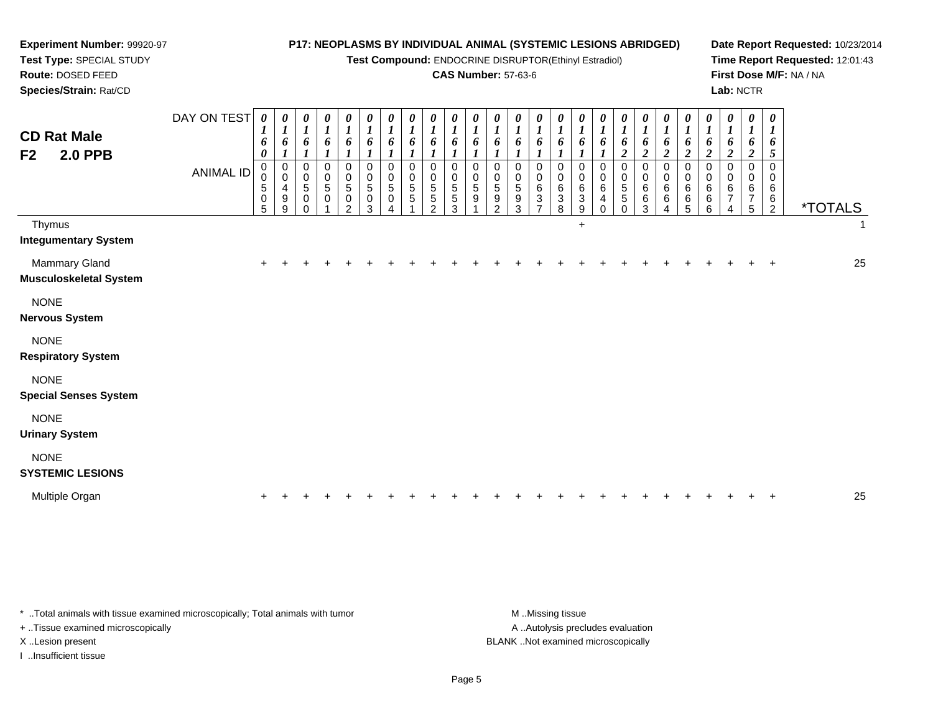| Experiment Number: 99920-97<br>Test Type: SPECIAL STUDY |                                 |                                                     |                                 |                                                                             |                                                                              |                                                                   |                                                                   |                                                            |                                          |                                                         | P17: NEOPLASMS BY INDIVIDUAL ANIMAL (SYSTEMIC LESIONS ABRIDGED)<br>Test Compound: ENDOCRINE DISRUPTOR(Ethinyl Estradiol) |                                                                           |                                                          |                                                                         |                                                                                        |                                                |                                                                         |                                                                   |                                                                                  |                                                       |                                                                                                      |                                                                                                    |                                                               |                                                                                        |                                                                         |                                                                      | Date Report Requested: 10/23/2014<br>Time Report Requested: 12:01:43 |    |
|---------------------------------------------------------|---------------------------------|-----------------------------------------------------|---------------------------------|-----------------------------------------------------------------------------|------------------------------------------------------------------------------|-------------------------------------------------------------------|-------------------------------------------------------------------|------------------------------------------------------------|------------------------------------------|---------------------------------------------------------|--------------------------------------------------------------------------------------------------------------------------|---------------------------------------------------------------------------|----------------------------------------------------------|-------------------------------------------------------------------------|----------------------------------------------------------------------------------------|------------------------------------------------|-------------------------------------------------------------------------|-------------------------------------------------------------------|----------------------------------------------------------------------------------|-------------------------------------------------------|------------------------------------------------------------------------------------------------------|----------------------------------------------------------------------------------------------------|---------------------------------------------------------------|----------------------------------------------------------------------------------------|-------------------------------------------------------------------------|----------------------------------------------------------------------|----------------------------------------------------------------------|----|
| Route: DOSED FEED<br>Species/Strain: Rat/CD             |                                 |                                                     |                                 |                                                                             |                                                                              |                                                                   |                                                                   |                                                            |                                          |                                                         | <b>CAS Number: 57-63-6</b>                                                                                               |                                                                           |                                                          |                                                                         |                                                                                        |                                                |                                                                         |                                                                   |                                                                                  |                                                       |                                                                                                      |                                                                                                    |                                                               |                                                                                        | Lab: NCTR                                                               |                                                                      | First Dose M/F: NA / NA                                              |    |
| <b>CD Rat Male</b><br><b>2.0 PPB</b><br>F <sub>2</sub>  | DAY ON TEST<br><b>ANIMAL ID</b> | $\boldsymbol{\theta}$<br>6<br>0<br>0<br>5<br>0<br>5 | 0<br>6<br>0<br>0<br>4<br>9<br>9 | 0<br>$\boldsymbol{l}$<br>6<br>0<br>0<br>$5\phantom{.0}$<br>$\mathbf 0$<br>0 | $\boldsymbol{\theta}$<br>$\boldsymbol{l}$<br>6<br>$\mathbf 0$<br>0<br>5<br>0 | 0<br>$\boldsymbol{I}$<br>6<br>$\Omega$<br>$\Omega$<br>5<br>0<br>2 | 0<br>$\boldsymbol{l}$<br>6<br>$\Omega$<br>$\Omega$<br>5<br>0<br>3 | $\boldsymbol{\theta}$<br>1<br>6<br>$\Omega$<br>0<br>5<br>0 | 0<br>6<br>$\Omega$<br>$\Omega$<br>5<br>5 | 0<br>1<br>6<br>$\Omega$<br>0<br>5<br>5<br>$\mathcal{P}$ | $\boldsymbol{\theta}$<br>$\boldsymbol{l}$<br>6<br>$\Omega$<br>$\Omega$<br>5<br>5<br>3                                    | $\boldsymbol{\theta}$<br>$\boldsymbol{l}$<br>6<br>0<br>$\Omega$<br>5<br>9 | 0<br>1<br>6<br>$\Omega$<br>0<br>5<br>9<br>$\overline{2}$ | U<br>$\boldsymbol{l}$<br>6<br>$\mathbf 0$<br>$\mathbf 0$<br>5<br>9<br>3 | $\boldsymbol{\theta}$<br>6<br>$\mathbf 0$<br>0<br>$\,6\,$<br>$\ensuremath{\mathsf{3}}$ | 0<br>1<br>6<br>$\mathbf 0$<br>0<br>6<br>3<br>8 | 0<br>$\boldsymbol{l}$<br>6<br>$\mathbf 0$<br>$\mathbf 0$<br>6<br>3<br>9 | 0<br>$\boldsymbol{l}$<br>6<br>$\Omega$<br>$\Omega$<br>6<br>4<br>∩ | 0<br>$\boldsymbol{l}$<br>6<br>$\boldsymbol{2}$<br>$\Omega$<br>$\Omega$<br>5<br>5 | 1<br>6<br>$\boldsymbol{2}$<br>$\Omega$<br>6<br>6<br>3 | $\boldsymbol{\theta}$<br>$\boldsymbol{l}$<br>6<br>$\boldsymbol{2}$<br>$\Omega$<br>$\Omega$<br>6<br>6 | $\boldsymbol{\theta}$<br>$\boldsymbol{l}$<br>6<br>$\boldsymbol{2}$<br>$\Omega$<br>0<br>6<br>6<br>5 | 0<br>1<br>6<br>$\overline{c}$<br>$\Omega$<br>0<br>6<br>6<br>6 | $\boldsymbol{\theta}$<br>6<br>$\overline{c}$<br>$\mathbf 0$<br>$\Omega$<br>6<br>7<br>4 | 0<br>$\boldsymbol{l}$<br>6<br>$\boldsymbol{2}$<br>0<br>0<br>6<br>7<br>5 | $\boldsymbol{\theta}$<br>1<br>6<br>5<br>$\Omega$<br>0<br>6<br>6<br>2 | <i><b>*TOTALS</b></i>                                                |    |
| Thymus<br><b>Integumentary System</b>                   |                                 |                                                     |                                 |                                                                             |                                                                              |                                                                   |                                                                   |                                                            |                                          |                                                         |                                                                                                                          |                                                                           |                                                          |                                                                         |                                                                                        |                                                | $+$                                                                     |                                                                   |                                                                                  |                                                       |                                                                                                      |                                                                                                    |                                                               |                                                                                        |                                                                         |                                                                      |                                                                      |    |
| <b>Mammary Gland</b><br><b>Musculoskeletal System</b>   |                                 | +                                                   |                                 |                                                                             |                                                                              |                                                                   |                                                                   |                                                            |                                          |                                                         |                                                                                                                          |                                                                           |                                                          |                                                                         |                                                                                        |                                                |                                                                         |                                                                   |                                                                                  |                                                       |                                                                                                      |                                                                                                    |                                                               |                                                                                        |                                                                         |                                                                      |                                                                      | 25 |
| <b>NONE</b><br><b>Nervous System</b>                    |                                 |                                                     |                                 |                                                                             |                                                                              |                                                                   |                                                                   |                                                            |                                          |                                                         |                                                                                                                          |                                                                           |                                                          |                                                                         |                                                                                        |                                                |                                                                         |                                                                   |                                                                                  |                                                       |                                                                                                      |                                                                                                    |                                                               |                                                                                        |                                                                         |                                                                      |                                                                      |    |
| <b>NONE</b><br><b>Respiratory System</b>                |                                 |                                                     |                                 |                                                                             |                                                                              |                                                                   |                                                                   |                                                            |                                          |                                                         |                                                                                                                          |                                                                           |                                                          |                                                                         |                                                                                        |                                                |                                                                         |                                                                   |                                                                                  |                                                       |                                                                                                      |                                                                                                    |                                                               |                                                                                        |                                                                         |                                                                      |                                                                      |    |
| <b>NONE</b><br><b>Special Senses System</b>             |                                 |                                                     |                                 |                                                                             |                                                                              |                                                                   |                                                                   |                                                            |                                          |                                                         |                                                                                                                          |                                                                           |                                                          |                                                                         |                                                                                        |                                                |                                                                         |                                                                   |                                                                                  |                                                       |                                                                                                      |                                                                                                    |                                                               |                                                                                        |                                                                         |                                                                      |                                                                      |    |
| <b>NONE</b><br><b>Urinary System</b>                    |                                 |                                                     |                                 |                                                                             |                                                                              |                                                                   |                                                                   |                                                            |                                          |                                                         |                                                                                                                          |                                                                           |                                                          |                                                                         |                                                                                        |                                                |                                                                         |                                                                   |                                                                                  |                                                       |                                                                                                      |                                                                                                    |                                                               |                                                                                        |                                                                         |                                                                      |                                                                      |    |
| <b>NONE</b><br><b>SYSTEMIC LESIONS</b>                  |                                 |                                                     |                                 |                                                                             |                                                                              |                                                                   |                                                                   |                                                            |                                          |                                                         |                                                                                                                          |                                                                           |                                                          |                                                                         |                                                                                        |                                                |                                                                         |                                                                   |                                                                                  |                                                       |                                                                                                      |                                                                                                    |                                                               |                                                                                        |                                                                         |                                                                      |                                                                      |    |
| Multiple Organ                                          |                                 |                                                     |                                 |                                                                             |                                                                              |                                                                   |                                                                   |                                                            |                                          |                                                         |                                                                                                                          |                                                                           |                                                          |                                                                         |                                                                                        |                                                |                                                                         |                                                                   |                                                                                  |                                                       |                                                                                                      |                                                                                                    |                                                               |                                                                                        |                                                                         |                                                                      |                                                                      | 25 |

\* ..Total animals with tissue examined microscopically; Total animals with tumor M..Missing tissue M ..Missing tissue + ..Tissue examined microscopically

I ..Insufficient tissue

A ..Autolysis precludes evaluation X ..Lesion present BLANK ..Not examined microscopically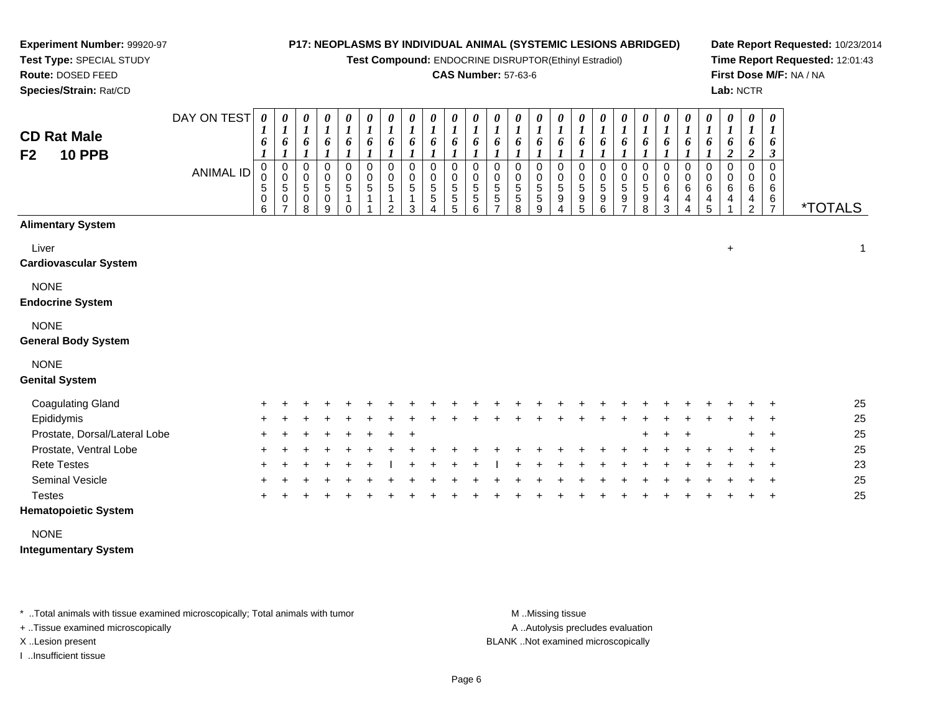*0 1*

*0 1*

*0 1*

*0 1*

*0 1*

*0 1*

*0 1*

*0 1*

*0 1*

*0 1*

*0 1*

*0 1*

*0 1*

*0 1*

*0 1*

*0 1*

*0 1*

**Test Compound:** ENDOCRINE DISRUPTOR(Ethinyl Estradiol)

#### **CAS Number:** 57-63-6

**Date Report Requested:** 10/23/2014**Time Report Requested:** 12:01:43**First Dose M/F:** NA / NA**Lab:** NCTR

**Test Type:** SPECIAL STUDY**Route:** DOSED FEED **Species/Strain:** Rat/CDDAY ON TEST *0 1***CD Rat Male***0 10 10 10 10 10 10 1*

**Experiment Number:** 99920-97

| <b>CD Rat Male</b><br><b>10 PPB</b><br>F <sub>2</sub> | <b>ANIMAL ID</b> | 6<br>$\boldsymbol{l}$<br>0<br>0<br>$\,$ 5 $\,$<br>$\pmb{0}$<br>6 | 6<br>$\boldsymbol{l}$<br>0<br>$\mathbf 0$<br>5<br>$\pmb{0}$<br>$\overline{ }$ | 6<br>$\boldsymbol{l}$<br>0<br>0<br>5<br>0<br>8 | 6<br>$\boldsymbol{l}$<br>0<br>$\pmb{0}$<br>$\sqrt{5}$<br>0<br>9 | 6<br>$\boldsymbol{l}$<br>0<br>$\pmb{0}$<br>5<br>$\Omega$ | 6<br>$\boldsymbol{l}$<br>0<br>$\pmb{0}$<br>$\sqrt{5}$ | 6<br>$\boldsymbol{l}$<br>0<br>0<br>$\sqrt{5}$<br>1<br>$\overline{2}$ | 6<br>$\boldsymbol{l}$<br>0<br>0<br>$\,$ 5 $\,$<br>3 | 6<br>$\boldsymbol{l}$<br>0<br>$\mathbf 0$<br>5<br>5 | 6<br>$\boldsymbol{l}$<br>$\mathbf 0$<br>0<br>5<br>5<br>5 | 6<br>$\boldsymbol{l}$<br>0<br>5<br>5<br>6 | 6<br>$\boldsymbol{l}$<br>0<br>0<br>5<br>5<br>$\overline{ }$ | 6<br>$\boldsymbol{l}$<br>0<br>0<br>5<br>5<br>8 | 6<br>$\boldsymbol{l}$<br>0<br>0<br>$\sqrt{5}$<br>$\mathbf 5$<br>9 | 6<br>$\boldsymbol{l}$<br>0<br>0<br>5<br>9<br>4 | 6<br>$\boldsymbol{l}$<br>0<br>0<br>$\sqrt{5}$<br>$\boldsymbol{9}$<br>5 | 6<br>$\boldsymbol{l}$<br>0<br>0<br>5<br>9<br>6 | 6<br>$\boldsymbol{l}$<br>0<br>0<br>5<br>9<br>$\overline{ }$ | 6<br>$\boldsymbol{l}$<br>0<br>5<br>9<br>8 | 6<br>$\boldsymbol{l}$<br>0<br>0<br>6<br>4<br>3 | 6<br>$\boldsymbol{l}$<br>0<br>0<br>6<br>4<br>4 | 6<br>$\boldsymbol{l}$<br>0<br>0<br>6<br>4<br>5 | 6<br>$\boldsymbol{2}$<br>0<br>0<br>6<br>4 | 6<br>$\boldsymbol{2}$<br>0<br>0<br>6<br>4<br>$\overline{2}$ | 6<br>3<br>$\Omega$<br>0<br>6<br>6<br>$\overline{7}$ | <i><b>*TOTALS</b></i> |
|-------------------------------------------------------|------------------|------------------------------------------------------------------|-------------------------------------------------------------------------------|------------------------------------------------|-----------------------------------------------------------------|----------------------------------------------------------|-------------------------------------------------------|----------------------------------------------------------------------|-----------------------------------------------------|-----------------------------------------------------|----------------------------------------------------------|-------------------------------------------|-------------------------------------------------------------|------------------------------------------------|-------------------------------------------------------------------|------------------------------------------------|------------------------------------------------------------------------|------------------------------------------------|-------------------------------------------------------------|-------------------------------------------|------------------------------------------------|------------------------------------------------|------------------------------------------------|-------------------------------------------|-------------------------------------------------------------|-----------------------------------------------------|-----------------------|
| <b>Alimentary System</b>                              |                  |                                                                  |                                                                               |                                                |                                                                 |                                                          |                                                       |                                                                      |                                                     |                                                     |                                                          |                                           |                                                             |                                                |                                                                   |                                                |                                                                        |                                                |                                                             |                                           |                                                |                                                |                                                |                                           |                                                             |                                                     |                       |
| Liver<br><b>Cardiovascular System</b>                 |                  |                                                                  |                                                                               |                                                |                                                                 |                                                          |                                                       |                                                                      |                                                     |                                                     |                                                          |                                           |                                                             |                                                |                                                                   |                                                |                                                                        |                                                |                                                             |                                           |                                                |                                                |                                                | $\ddot{}$                                 |                                                             |                                                     | 1                     |
| <b>NONE</b><br><b>Endocrine System</b>                |                  |                                                                  |                                                                               |                                                |                                                                 |                                                          |                                                       |                                                                      |                                                     |                                                     |                                                          |                                           |                                                             |                                                |                                                                   |                                                |                                                                        |                                                |                                                             |                                           |                                                |                                                |                                                |                                           |                                                             |                                                     |                       |
| <b>NONE</b><br><b>General Body System</b>             |                  |                                                                  |                                                                               |                                                |                                                                 |                                                          |                                                       |                                                                      |                                                     |                                                     |                                                          |                                           |                                                             |                                                |                                                                   |                                                |                                                                        |                                                |                                                             |                                           |                                                |                                                |                                                |                                           |                                                             |                                                     |                       |
| <b>NONE</b><br><b>Genital System</b>                  |                  |                                                                  |                                                                               |                                                |                                                                 |                                                          |                                                       |                                                                      |                                                     |                                                     |                                                          |                                           |                                                             |                                                |                                                                   |                                                |                                                                        |                                                |                                                             |                                           |                                                |                                                |                                                |                                           |                                                             |                                                     |                       |
| <b>Coagulating Gland</b>                              |                  |                                                                  |                                                                               |                                                |                                                                 |                                                          |                                                       |                                                                      |                                                     |                                                     |                                                          |                                           |                                                             |                                                |                                                                   |                                                |                                                                        |                                                |                                                             |                                           |                                                |                                                |                                                |                                           |                                                             |                                                     | 25                    |
| Epididymis                                            |                  |                                                                  |                                                                               |                                                |                                                                 |                                                          |                                                       |                                                                      |                                                     |                                                     |                                                          |                                           |                                                             |                                                |                                                                   |                                                |                                                                        |                                                |                                                             |                                           |                                                |                                                |                                                |                                           |                                                             |                                                     | 25                    |
| Prostate, Dorsal/Lateral Lobe                         |                  |                                                                  |                                                                               |                                                |                                                                 |                                                          |                                                       |                                                                      | $\ddot{}$                                           |                                                     |                                                          |                                           |                                                             |                                                |                                                                   |                                                |                                                                        |                                                |                                                             | $\pm$                                     |                                                |                                                |                                                |                                           |                                                             | $\ddot{}$                                           | 25                    |
| Prostate, Ventral Lobe                                |                  |                                                                  |                                                                               |                                                |                                                                 |                                                          |                                                       |                                                                      |                                                     |                                                     |                                                          |                                           |                                                             |                                                |                                                                   |                                                |                                                                        |                                                |                                                             |                                           |                                                |                                                |                                                |                                           |                                                             |                                                     | 25                    |
| <b>Rete Testes</b>                                    |                  |                                                                  |                                                                               |                                                |                                                                 |                                                          |                                                       |                                                                      |                                                     |                                                     |                                                          |                                           |                                                             |                                                |                                                                   |                                                |                                                                        |                                                |                                                             |                                           |                                                |                                                |                                                |                                           |                                                             |                                                     | 23                    |
| Seminal Vesicle                                       |                  |                                                                  |                                                                               |                                                |                                                                 |                                                          |                                                       |                                                                      |                                                     |                                                     |                                                          |                                           |                                                             |                                                |                                                                   |                                                |                                                                        |                                                |                                                             |                                           |                                                |                                                |                                                |                                           |                                                             |                                                     | 25                    |
| <b>Testes</b>                                         |                  |                                                                  |                                                                               |                                                |                                                                 |                                                          |                                                       |                                                                      |                                                     |                                                     |                                                          |                                           |                                                             |                                                |                                                                   |                                                |                                                                        |                                                |                                                             |                                           |                                                |                                                |                                                |                                           |                                                             | $\ddot{}$                                           | 25                    |

# **Hematopoietic System**

NONE

**Integumentary System**

\* ..Total animals with tissue examined microscopically; Total animals with tumor **M** ..Missing tissue M ..Missing tissue

+ ..Tissue examined microscopically

I ..Insufficient tissue

A ..Autolysis precludes evaluation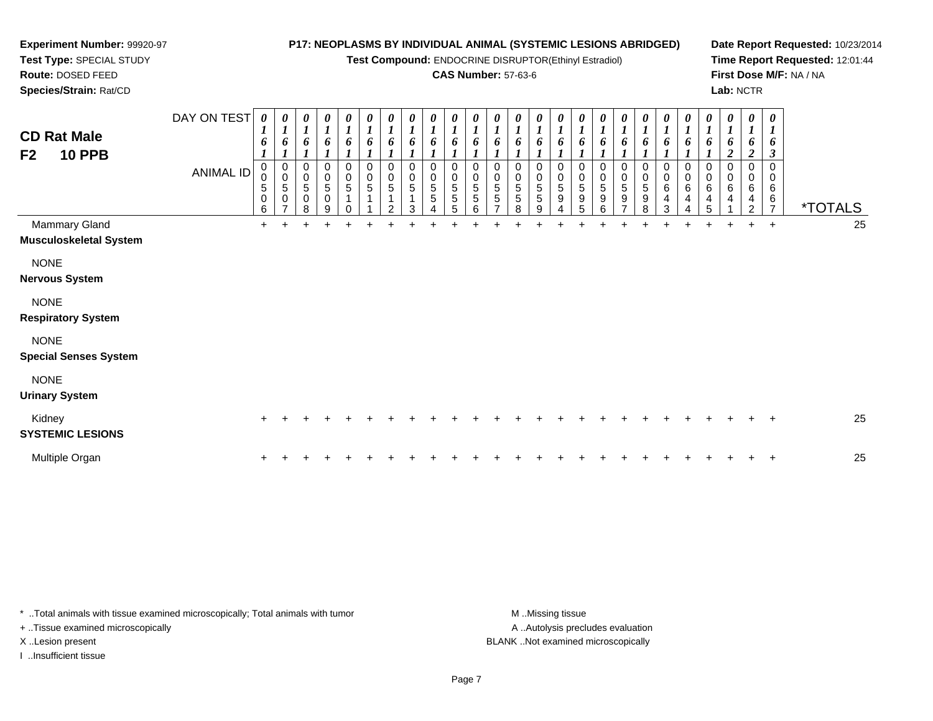#### **Experiment Number:** 99920-97**Test Type:** SPECIAL STUDY**Route:** DOSED FEED **Species/Strain:** Rat/CD**P17: NEOPLASMS BY INDIVIDUAL ANIMAL (SYSTEMIC LESIONS ABRIDGED)Test Compound:** ENDOCRINE DISRUPTOR(Ethinyl Estradiol)**CAS Number:** 57-63-6**Date Report Requested:** 10/23/2014**Time Report Requested:** 12:01:44**First Dose M/F:** NA / NA**Lab:** NCTRDAY ON TEST**CD Rat Male F2 10 PPB**ANIMAL ID*0 1 6 1* 0 0 5 0 6 $\ddot{}$ *0 1 6 1* 0 0 5 0 7*0 1 6 1* 0 0 5 0 8*0 1 6 1* 0 0 5 0 9*0 1 6 1* 0 0 5 1 0*0 1 6 1* 0 0 5 1 1 $\ddot{}$ *0 1 6 1* 0 0 5 1 2*0 1 6 1* 0 0 5 1 3 $\ddot{}$ *0 1 6 1* 0 0 5 5 4*0 1 6 1* 0 0 5 5 5*0 1 6 1* 0 0 5 5 6 $\ddot{}$ *0 1 6 1* 0 0 5 5 7 $\ddot{}$ *0 1 6 1* 0 0 5 5 8 $\ddot{}$ *0 1 6 1* 0 0 5 5 9*0 1 6 1* 0 0 5 9 4*0 1 6 1* 0 0 5 9 5*0 1 6 1* 0 0 5 9 6*0 1 6 1* 0 0 5 9 7 $\ddot{}$ *0 1 6 1* 0 0 5 9 8*0 1 6 1* 0 0 6 4 3*0 1 6 1* 0 0 6 4 4*0 1 6 1* 0 0 6 4 5*0 1 6 2* 0 0 6 4 1 $\ddot{}$ *0 1 6 2* 0 0 6 4 2*0 1 6 3* 0 0 6 $\frac{6}{7}$ <sup>7</sup> \*TOTALS25 Mammary Gland $\alpha$  + <sup>+</sup> <sup>+</sup> <sup>+</sup> <sup>+</sup> <sup>+</sup> <sup>+</sup> <sup>+</sup> <sup>+</sup> <sup>+</sup> <sup>+</sup> <sup>+</sup> <sup>+</sup> <sup>+</sup> <sup>+</sup> <sup>+</sup> <sup>+</sup> <sup>+</sup> <sup>+</sup> <sup>+</sup> <sup>+</sup> <sup>+</sup> <sup>+</sup> <sup>+</sup> <sup>+</sup> <sup>25</sup> **Musculoskeletal System**NONE **Nervous System**NONE **Respiratory System**NONE

**Special Senses System**

NONE

**Urinary System**

| Kidney<br><b>SYSTEMIC LESIONS</b> |  |  |  |  |  |  |  |  |  |  |  |  |  | 25 |
|-----------------------------------|--|--|--|--|--|--|--|--|--|--|--|--|--|----|
| Multiple Organ                    |  |  |  |  |  |  |  |  |  |  |  |  |  | 25 |

\* ..Total animals with tissue examined microscopically; Total animals with tumor **M** ..Missing tissue M ..Missing tissue A ..Autolysis precludes evaluation + ..Tissue examined microscopically X ..Lesion present BLANK ..Not examined microscopicallyI ..Insufficient tissue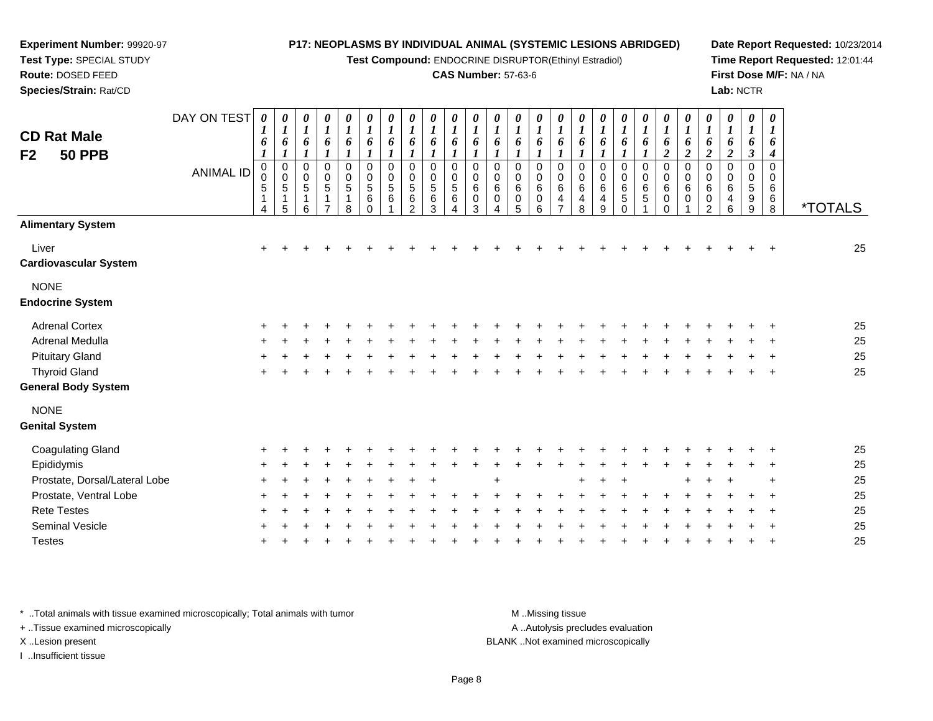**Test Compound:** ENDOCRINE DISRUPTOR(Ethinyl Estradiol)

#### **CAS Number:** 57-63-6

**Date Report Requested:** 10/23/2014**Time Report Requested:** 12:01:44**First Dose M/F:** NA / NA**Lab:** NCTR

| <b>CD Rat Male</b><br>F <sub>2</sub><br><b>50 PPB</b> | DAY ON TEST<br><b>ANIMAL ID</b> | $\boldsymbol{\theta}$<br>1<br>6<br>$\boldsymbol{l}$<br>$\mathbf 0$<br>0<br>$\mathbf 5$<br>$\mathbf{1}$<br>4 | 0<br>$\boldsymbol{l}$<br>6<br>$\boldsymbol{l}$<br>$\begin{matrix} 0 \\ 0 \\ 5 \end{matrix}$<br>1<br>$\overline{5}$ | 0<br>$\boldsymbol{I}$<br>$\pmb{6}$<br>$\boldsymbol{l}$<br>$\pmb{0}$<br>$\mathbf 0$<br>$\sqrt{5}$<br>1<br>6 | 0<br>$\boldsymbol{l}$<br>6<br>$\boldsymbol{l}$<br>$\pmb{0}$<br>$\pmb{0}$<br>$\,$ 5 $\,$<br>$\mathbf 1$<br>$\overline{ }$ | $\pmb{\theta}$<br>$\boldsymbol{l}$<br>6<br>$\boldsymbol{l}$<br>$\pmb{0}$<br>$\pmb{0}$<br>$\sqrt{5}$<br>1<br>8 | 0<br>$\boldsymbol{l}$<br>6<br>$\boldsymbol{l}$<br>$\pmb{0}$<br>$\pmb{0}$<br>$\mathbf 5$<br>$\,6\,$<br>$\Omega$ | $\boldsymbol{\theta}$<br>$\boldsymbol{l}$<br>6<br>$\boldsymbol{l}$<br>$\mathbf 0$<br>0<br>$\sqrt{5}$<br>6 | 0<br>$\boldsymbol{l}$<br>6<br>1<br>0<br>0<br>5<br>6<br>$\overline{2}$ | $\boldsymbol{\theta}$<br>$\boldsymbol{l}$<br>6<br>$\mathbf 0$<br>$\mathbf 0$<br>5<br>$\,6$<br>3 | 0<br>1<br>6<br>0<br>0<br>5<br>$\,6\,$<br>Δ | 0<br>$\boldsymbol{l}$<br>6<br>0<br>0<br>$\,6\,$<br>$\pmb{0}$<br>3 | 0<br>$\boldsymbol{l}$<br>6<br>1<br>0<br>0<br>$\,6\,$<br>$\pmb{0}$<br>4 | $\boldsymbol{\theta}$<br>$\bm{l}$<br>6<br>$\mathbf 0$<br>0<br>$\,6$<br>$\pmb{0}$<br>5 | 0<br>$\boldsymbol{l}$<br>6<br>0<br>0<br>6<br>$\pmb{0}$<br>6 | $\boldsymbol{\theta}$<br>$\boldsymbol{l}$<br>6<br>$\boldsymbol{l}$<br>$\mathbf 0$<br>0<br>$\,6$<br>$\overline{4}$<br>$\overline{7}$ | 0<br>$\boldsymbol{l}$<br>6<br>$\boldsymbol{l}$<br>$\mathbf 0$<br>0<br>6<br>4<br>8 | $\pmb{\theta}$<br>$\boldsymbol{l}$<br>6<br>$\boldsymbol{l}$<br>$\pmb{0}$<br>0<br>$\,6\,$<br>4<br>9 | 0<br>$\boldsymbol{l}$<br>6<br>1<br>0<br>$\pmb{0}$<br>$\,6\,$<br>5<br>$\Omega$ | 0<br>$\boldsymbol{l}$<br>6<br>1<br>0<br>$\pmb{0}$<br>$\,6$<br>$\sqrt{5}$ | $\pmb{\theta}$<br>$\boldsymbol{l}$<br>6<br>$\boldsymbol{2}$<br>$\mathbf 0$<br>0<br>6<br>0<br>$\Omega$ | $\boldsymbol{\theta}$<br>$\boldsymbol{l}$<br>6<br>$\boldsymbol{2}$<br>$\pmb{0}$<br>0<br>6<br>0 | 0<br>$\boldsymbol{I}$<br>6<br>$\boldsymbol{2}$<br>0<br>$\mathbf 0$<br>6<br>0<br>$\overline{2}$ | 0<br>$\boldsymbol{l}$<br>6<br>$\boldsymbol{2}$<br>0<br>0<br>6<br>4<br>6 | $\boldsymbol{\theta}$<br>1<br>6<br>$\boldsymbol{\beta}$<br>0<br>$\Omega$<br>5<br>9<br>9 | $\boldsymbol{\theta}$<br>1<br>6<br>4<br>$\mathbf 0$<br>$\mathbf 0$<br>$\,6$<br>$\,6$<br>$\overline{8}$ | <i><b>*TOTALS</b></i> |
|-------------------------------------------------------|---------------------------------|-------------------------------------------------------------------------------------------------------------|--------------------------------------------------------------------------------------------------------------------|------------------------------------------------------------------------------------------------------------|--------------------------------------------------------------------------------------------------------------------------|---------------------------------------------------------------------------------------------------------------|----------------------------------------------------------------------------------------------------------------|-----------------------------------------------------------------------------------------------------------|-----------------------------------------------------------------------|-------------------------------------------------------------------------------------------------|--------------------------------------------|-------------------------------------------------------------------|------------------------------------------------------------------------|---------------------------------------------------------------------------------------|-------------------------------------------------------------|-------------------------------------------------------------------------------------------------------------------------------------|-----------------------------------------------------------------------------------|----------------------------------------------------------------------------------------------------|-------------------------------------------------------------------------------|--------------------------------------------------------------------------|-------------------------------------------------------------------------------------------------------|------------------------------------------------------------------------------------------------|------------------------------------------------------------------------------------------------|-------------------------------------------------------------------------|-----------------------------------------------------------------------------------------|--------------------------------------------------------------------------------------------------------|-----------------------|
| <b>Alimentary System</b>                              |                                 |                                                                                                             |                                                                                                                    |                                                                                                            |                                                                                                                          |                                                                                                               |                                                                                                                |                                                                                                           |                                                                       |                                                                                                 |                                            |                                                                   |                                                                        |                                                                                       |                                                             |                                                                                                                                     |                                                                                   |                                                                                                    |                                                                               |                                                                          |                                                                                                       |                                                                                                |                                                                                                |                                                                         |                                                                                         |                                                                                                        |                       |
| Liver<br><b>Cardiovascular System</b>                 |                                 | $\ddot{}$                                                                                                   |                                                                                                                    |                                                                                                            |                                                                                                                          |                                                                                                               |                                                                                                                |                                                                                                           |                                                                       |                                                                                                 |                                            |                                                                   |                                                                        |                                                                                       |                                                             |                                                                                                                                     |                                                                                   |                                                                                                    |                                                                               |                                                                          |                                                                                                       |                                                                                                |                                                                                                |                                                                         |                                                                                         |                                                                                                        | 25                    |
| <b>NONE</b><br><b>Endocrine System</b>                |                                 |                                                                                                             |                                                                                                                    |                                                                                                            |                                                                                                                          |                                                                                                               |                                                                                                                |                                                                                                           |                                                                       |                                                                                                 |                                            |                                                                   |                                                                        |                                                                                       |                                                             |                                                                                                                                     |                                                                                   |                                                                                                    |                                                                               |                                                                          |                                                                                                       |                                                                                                |                                                                                                |                                                                         |                                                                                         |                                                                                                        |                       |
| <b>Adrenal Cortex</b>                                 |                                 |                                                                                                             |                                                                                                                    |                                                                                                            |                                                                                                                          |                                                                                                               |                                                                                                                |                                                                                                           |                                                                       |                                                                                                 |                                            |                                                                   |                                                                        |                                                                                       |                                                             |                                                                                                                                     |                                                                                   |                                                                                                    |                                                                               |                                                                          |                                                                                                       |                                                                                                |                                                                                                |                                                                         |                                                                                         |                                                                                                        | 25                    |
| Adrenal Medulla                                       |                                 |                                                                                                             |                                                                                                                    |                                                                                                            |                                                                                                                          |                                                                                                               |                                                                                                                |                                                                                                           |                                                                       |                                                                                                 |                                            |                                                                   |                                                                        |                                                                                       |                                                             |                                                                                                                                     |                                                                                   |                                                                                                    |                                                                               |                                                                          |                                                                                                       |                                                                                                |                                                                                                |                                                                         |                                                                                         |                                                                                                        | 25                    |
| <b>Pituitary Gland</b>                                |                                 |                                                                                                             |                                                                                                                    |                                                                                                            |                                                                                                                          |                                                                                                               |                                                                                                                |                                                                                                           |                                                                       |                                                                                                 |                                            |                                                                   |                                                                        |                                                                                       |                                                             |                                                                                                                                     |                                                                                   |                                                                                                    |                                                                               |                                                                          |                                                                                                       |                                                                                                |                                                                                                |                                                                         |                                                                                         |                                                                                                        | 25                    |
| <b>Thyroid Gland</b>                                  |                                 |                                                                                                             |                                                                                                                    |                                                                                                            |                                                                                                                          |                                                                                                               |                                                                                                                |                                                                                                           |                                                                       |                                                                                                 |                                            |                                                                   |                                                                        |                                                                                       |                                                             |                                                                                                                                     |                                                                                   |                                                                                                    |                                                                               |                                                                          |                                                                                                       |                                                                                                |                                                                                                |                                                                         |                                                                                         |                                                                                                        | 25                    |
| <b>General Body System</b>                            |                                 |                                                                                                             |                                                                                                                    |                                                                                                            |                                                                                                                          |                                                                                                               |                                                                                                                |                                                                                                           |                                                                       |                                                                                                 |                                            |                                                                   |                                                                        |                                                                                       |                                                             |                                                                                                                                     |                                                                                   |                                                                                                    |                                                                               |                                                                          |                                                                                                       |                                                                                                |                                                                                                |                                                                         |                                                                                         |                                                                                                        |                       |
| <b>NONE</b><br><b>Genital System</b>                  |                                 |                                                                                                             |                                                                                                                    |                                                                                                            |                                                                                                                          |                                                                                                               |                                                                                                                |                                                                                                           |                                                                       |                                                                                                 |                                            |                                                                   |                                                                        |                                                                                       |                                                             |                                                                                                                                     |                                                                                   |                                                                                                    |                                                                               |                                                                          |                                                                                                       |                                                                                                |                                                                                                |                                                                         |                                                                                         |                                                                                                        |                       |
| <b>Coagulating Gland</b>                              |                                 |                                                                                                             |                                                                                                                    |                                                                                                            |                                                                                                                          |                                                                                                               |                                                                                                                |                                                                                                           |                                                                       |                                                                                                 |                                            |                                                                   |                                                                        |                                                                                       |                                                             |                                                                                                                                     |                                                                                   |                                                                                                    |                                                                               |                                                                          |                                                                                                       |                                                                                                |                                                                                                |                                                                         |                                                                                         |                                                                                                        | 25                    |
| Epididymis                                            |                                 |                                                                                                             |                                                                                                                    |                                                                                                            |                                                                                                                          |                                                                                                               |                                                                                                                |                                                                                                           |                                                                       |                                                                                                 |                                            |                                                                   |                                                                        |                                                                                       |                                                             |                                                                                                                                     |                                                                                   |                                                                                                    |                                                                               |                                                                          |                                                                                                       |                                                                                                |                                                                                                |                                                                         |                                                                                         |                                                                                                        | 25                    |
| Prostate, Dorsal/Lateral Lobe                         |                                 |                                                                                                             |                                                                                                                    |                                                                                                            |                                                                                                                          |                                                                                                               |                                                                                                                |                                                                                                           |                                                                       |                                                                                                 |                                            |                                                                   |                                                                        |                                                                                       |                                                             |                                                                                                                                     |                                                                                   |                                                                                                    |                                                                               |                                                                          |                                                                                                       |                                                                                                |                                                                                                |                                                                         |                                                                                         |                                                                                                        | 25                    |
| Prostate, Ventral Lobe                                |                                 |                                                                                                             |                                                                                                                    |                                                                                                            |                                                                                                                          |                                                                                                               |                                                                                                                |                                                                                                           |                                                                       |                                                                                                 |                                            |                                                                   |                                                                        |                                                                                       |                                                             |                                                                                                                                     |                                                                                   |                                                                                                    |                                                                               |                                                                          |                                                                                                       |                                                                                                |                                                                                                |                                                                         |                                                                                         |                                                                                                        | 25                    |
| <b>Rete Testes</b>                                    |                                 |                                                                                                             |                                                                                                                    |                                                                                                            |                                                                                                                          |                                                                                                               |                                                                                                                |                                                                                                           |                                                                       |                                                                                                 |                                            |                                                                   |                                                                        |                                                                                       |                                                             |                                                                                                                                     |                                                                                   |                                                                                                    |                                                                               |                                                                          |                                                                                                       |                                                                                                |                                                                                                |                                                                         |                                                                                         |                                                                                                        | 25                    |
| Seminal Vesicle                                       |                                 |                                                                                                             |                                                                                                                    |                                                                                                            |                                                                                                                          |                                                                                                               |                                                                                                                |                                                                                                           |                                                                       |                                                                                                 |                                            |                                                                   |                                                                        |                                                                                       |                                                             |                                                                                                                                     |                                                                                   |                                                                                                    |                                                                               |                                                                          |                                                                                                       |                                                                                                |                                                                                                |                                                                         |                                                                                         |                                                                                                        | 25                    |
| <b>Testes</b>                                         |                                 |                                                                                                             |                                                                                                                    |                                                                                                            |                                                                                                                          |                                                                                                               |                                                                                                                |                                                                                                           |                                                                       |                                                                                                 |                                            |                                                                   |                                                                        |                                                                                       |                                                             |                                                                                                                                     |                                                                                   |                                                                                                    |                                                                               |                                                                          |                                                                                                       |                                                                                                |                                                                                                |                                                                         |                                                                                         |                                                                                                        | 25                    |
|                                                       |                                 |                                                                                                             |                                                                                                                    |                                                                                                            |                                                                                                                          |                                                                                                               |                                                                                                                |                                                                                                           |                                                                       |                                                                                                 |                                            |                                                                   |                                                                        |                                                                                       |                                                             |                                                                                                                                     |                                                                                   |                                                                                                    |                                                                               |                                                                          |                                                                                                       |                                                                                                |                                                                                                |                                                                         |                                                                                         |                                                                                                        |                       |

\* ..Total animals with tissue examined microscopically; Total animals with tumor **M** . Missing tissue M ..Missing tissue

+ ..Tissue examined microscopically

**Experiment Number:** 99920-97**Test Type:** SPECIAL STUDY**Route:** DOSED FEED**Species/Strain:** Rat/CD

I ..Insufficient tissue

A ..Autolysis precludes evaluation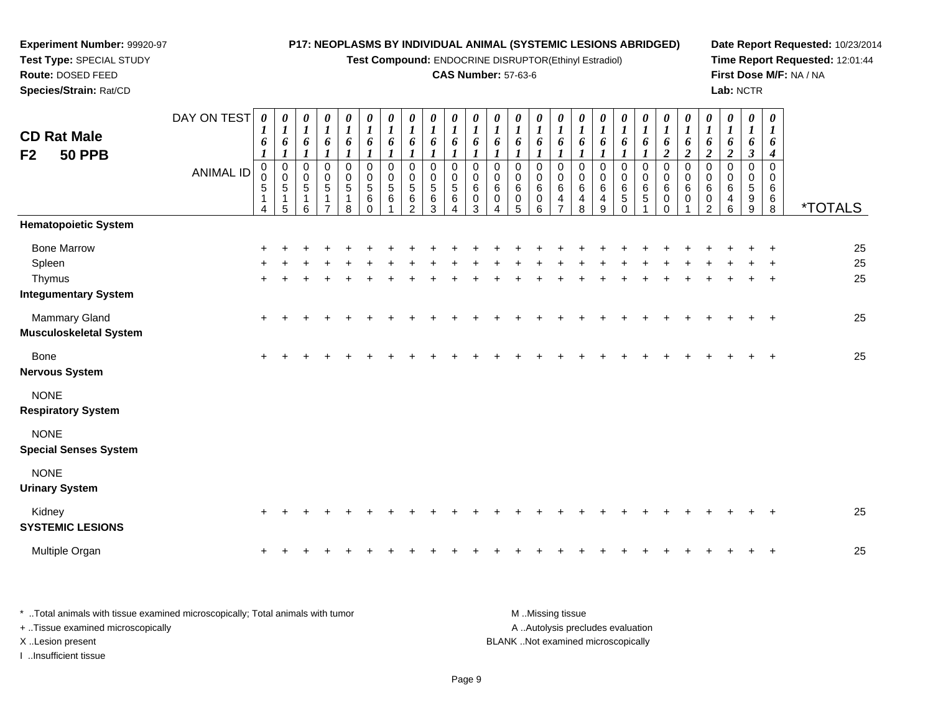#### **Test Type:** SPECIAL STUDY**Route:** DOSED FEED **Species/Strain:** Rat/CD**Test Compound:** ENDOCRINE DISRUPTOR(Ethinyl Estradiol)**CAS Number:** 57-63-6**Time Report Requested:** 12:01:44**First Dose M/F:** NA / NA**Lab:** NCTRDAY ON TEST**CD Rat Male F2 50 PPB**ANIMAL ID*0 1 6 1* 0 0 5 1 4*0 1 6 1* 0 0 5 1 5*0 1 6 1* 0 0 5 1 6*0 1 6 1* 0 0 5 1 7*0 1 6 1* 0 0 5 1 8*0 1 6 1* 0 0 5 6 0*0 1 6 1* 0 0 5 6 1*0 1 6 1* 0 0 5 6 2*0 1 6 1* 0 0 5 6 3*0 1 6 1* 0 0 5 6 4*0 1 6 1* 0 0 6 0 3*0 1 6 1* 0 0 6 0 4*0 1 6 1* 0 0 6 0 5*0 1 6 1* 0 0 6 0 6*0 1 6 1* 0 0 6 4 7*0 1 6 1* 0 0 6 4 8*0 1 6 1* 0 0 6 4 9*0 1 6 1* 0 0 6 5 0*0 1 6 1* 0 0 6 5 1*0 1 6 2* 0 0 6 0 0*0 1 6 2* 0 0 6 0 1*0 1 6 2* 0 0 6 0 2*0 1 6 2* 0 0 6 4 6*0 1 6 3* 0 0 5 9 9*0 1 6 4* 0 0 6 6 $\check{8}$ 8 \*TOTALS**Hematopoietic System**Bone Marrow <sup>+</sup> <sup>+</sup> <sup>+</sup> <sup>+</sup> <sup>+</sup> <sup>+</sup> <sup>+</sup> <sup>+</sup> <sup>+</sup> <sup>+</sup> <sup>+</sup> <sup>+</sup> <sup>+</sup> <sup>+</sup> <sup>+</sup> <sup>+</sup> <sup>+</sup> <sup>+</sup> <sup>+</sup> <sup>+</sup> <sup>+</sup> <sup>+</sup> <sup>+</sup> <sup>+</sup> <sup>+</sup> <sup>25</sup> Spleenn  $+$  <sup>+</sup> <sup>+</sup> <sup>+</sup> <sup>+</sup> <sup>+</sup> <sup>+</sup> <sup>+</sup> <sup>+</sup> <sup>+</sup> <sup>+</sup> <sup>+</sup> <sup>+</sup> <sup>+</sup> <sup>+</sup> <sup>+</sup> <sup>+</sup> <sup>+</sup> <sup>+</sup> <sup>+</sup> <sup>+</sup> <sup>+</sup> <sup>+</sup> <sup>+</sup> <sup>+</sup> <sup>25</sup> Thymus <sup>+</sup> <sup>+</sup> <sup>+</sup> <sup>+</sup> <sup>+</sup> <sup>+</sup> <sup>+</sup> <sup>+</sup> <sup>+</sup> <sup>+</sup> <sup>+</sup> <sup>+</sup> <sup>+</sup> <sup>+</sup> <sup>+</sup> <sup>+</sup> <sup>+</sup> <sup>+</sup> <sup>+</sup> <sup>+</sup> <sup>+</sup> <sup>+</sup> <sup>+</sup> <sup>+</sup> <sup>+</sup> <sup>25</sup> **Integumentary System**Mammary Gland $\alpha$  + <sup>+</sup> <sup>+</sup> <sup>+</sup> <sup>+</sup> <sup>+</sup> <sup>+</sup> <sup>+</sup> <sup>+</sup> <sup>+</sup> <sup>+</sup> <sup>+</sup> <sup>+</sup> <sup>+</sup> <sup>+</sup> <sup>+</sup> <sup>+</sup> <sup>+</sup> <sup>+</sup> <sup>+</sup> <sup>+</sup> <sup>+</sup> <sup>+</sup> <sup>+</sup> <sup>+</sup> <sup>25</sup> **Musculoskeletal System**Bone $e$  + <sup>+</sup> <sup>+</sup> <sup>+</sup> <sup>+</sup> <sup>+</sup> <sup>+</sup> <sup>+</sup> <sup>+</sup> <sup>+</sup> <sup>+</sup> <sup>+</sup> <sup>+</sup> <sup>+</sup> <sup>+</sup> <sup>+</sup> <sup>+</sup> <sup>+</sup> <sup>+</sup> <sup>+</sup> <sup>+</sup> <sup>+</sup> <sup>+</sup> <sup>+</sup> <sup>+</sup> <sup>25</sup> **Nervous System**NONE **Respiratory System**NONE **Special Senses System**NONE **Urinary System**Kidney $\mathsf y$  <sup>+</sup> <sup>+</sup> <sup>+</sup> <sup>+</sup> <sup>+</sup> <sup>+</sup> <sup>+</sup> <sup>+</sup> <sup>+</sup> <sup>+</sup> <sup>+</sup> <sup>+</sup> <sup>+</sup> <sup>+</sup> <sup>+</sup> <sup>+</sup> <sup>+</sup> <sup>+</sup> <sup>+</sup> <sup>+</sup> <sup>+</sup> <sup>+</sup> <sup>+</sup> <sup>+</sup> <sup>25</sup> **SYSTEMIC LESIONS**Multiple Organ

**P17: NEOPLASMS BY INDIVIDUAL ANIMAL (SYSTEMIC LESIONS ABRIDGED)**

**Date Report Requested:** 10/23/2014

\* ..Total animals with tissue examined microscopically; Total animals with tumor M ...Missing tissue M ...Missing tissue A ..Autolysis precludes evaluation + ..Tissue examined microscopically X ..Lesion present BLANK ..Not examined microscopicallyI ..Insufficient tissue

n  $+$ 

**Experiment Number:** 99920-97

<sup>+</sup> <sup>+</sup> <sup>+</sup> <sup>+</sup> <sup>+</sup> <sup>+</sup> <sup>+</sup> <sup>+</sup> <sup>+</sup> <sup>+</sup> <sup>+</sup> <sup>+</sup> <sup>+</sup> <sup>+</sup> <sup>+</sup> <sup>+</sup> <sup>+</sup> <sup>+</sup> <sup>+</sup> <sup>+</sup> <sup>+</sup> <sup>+</sup> <sup>+</sup> <sup>+</sup> <sup>25</sup>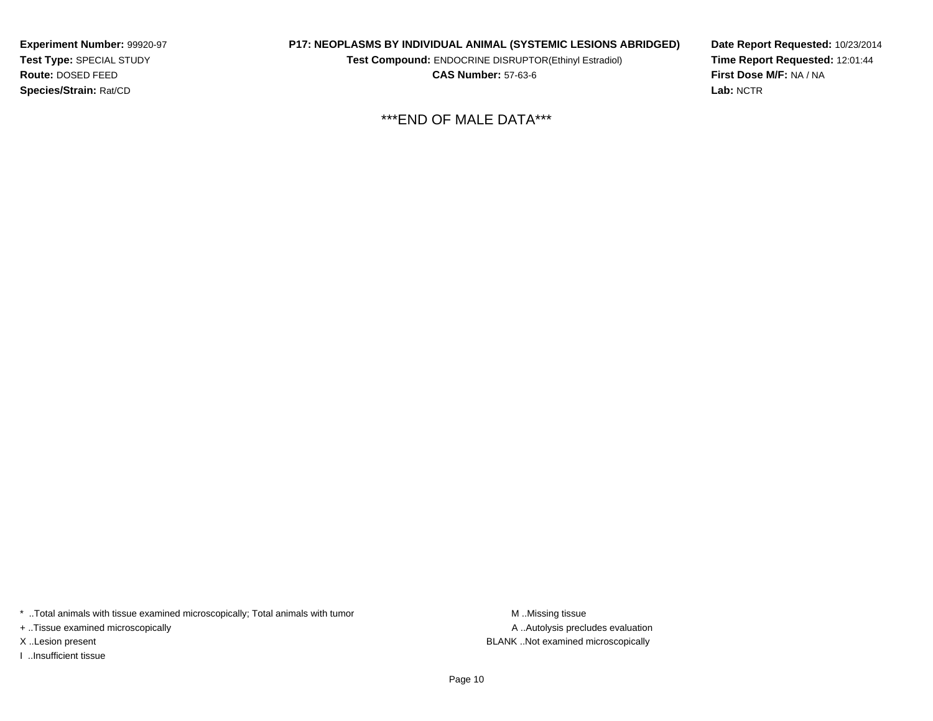**Experiment Number:** 99920-97**Test Type:** SPECIAL STUDY**Route:** DOSED FEED**Species/Strain:** Rat/CD

**P17: NEOPLASMS BY INDIVIDUAL ANIMAL (SYSTEMIC LESIONS ABRIDGED)**

**Test Compound:** ENDOCRINE DISRUPTOR(Ethinyl Estradiol)

**CAS Number:** 57-63-6

**Date Report Requested:** 10/23/2014**Time Report Requested:** 12:01:44**First Dose M/F:** NA / NA**Lab:** NCTR

\*\*\*END OF MALE DATA\*\*\*

\* ..Total animals with tissue examined microscopically; Total animals with tumor **M** . Missing tissue M ..Missing tissue

+ ..Tissue examined microscopically

I ..Insufficient tissue

A ..Autolysis precludes evaluation X ..Lesion present BLANK ..Not examined microscopically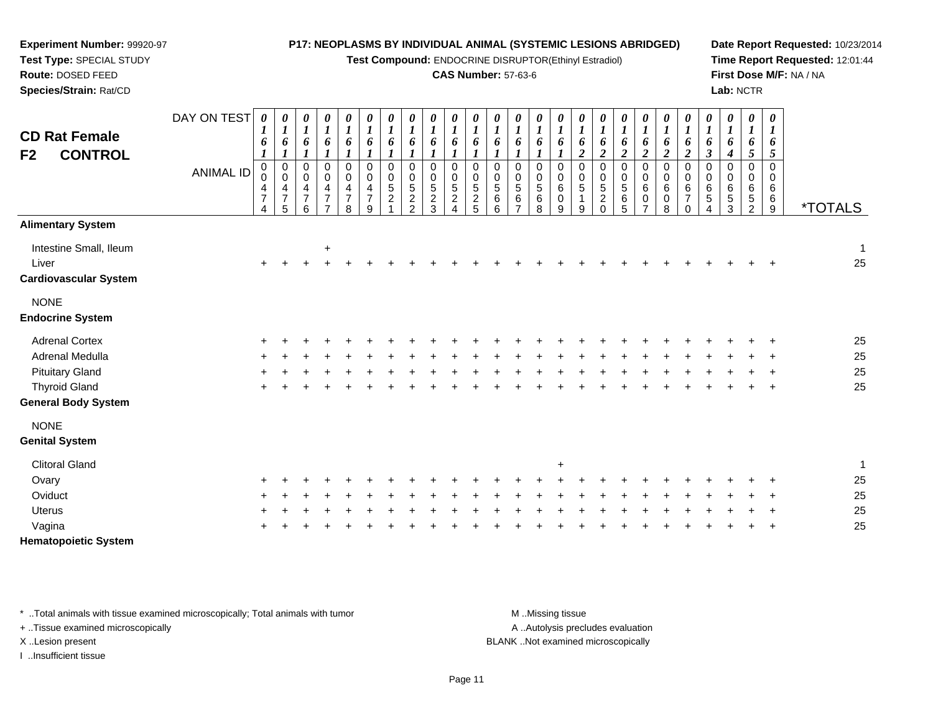| Experiment Number: 99920-97                                                                                              |                  |                                              |                                                                                     |                                                                          |                                                                        |                                                        |                                                |                                                    | P17: NEOPLASMS BY INDIVIDUAL ANIMAL (SYSTEMIC LESIONS ABRIDGED)      |                                                       |                                                                        |                                                        |                                 |                                   |                                                                    |                                             |                                                             |                                                              |                                                  |                                                                    |                                                            |                                             |                                            |                                                          |                                                                       |                                    | Date Report Requested: 10/23/201 |
|--------------------------------------------------------------------------------------------------------------------------|------------------|----------------------------------------------|-------------------------------------------------------------------------------------|--------------------------------------------------------------------------|------------------------------------------------------------------------|--------------------------------------------------------|------------------------------------------------|----------------------------------------------------|----------------------------------------------------------------------|-------------------------------------------------------|------------------------------------------------------------------------|--------------------------------------------------------|---------------------------------|-----------------------------------|--------------------------------------------------------------------|---------------------------------------------|-------------------------------------------------------------|--------------------------------------------------------------|--------------------------------------------------|--------------------------------------------------------------------|------------------------------------------------------------|---------------------------------------------|--------------------------------------------|----------------------------------------------------------|-----------------------------------------------------------------------|------------------------------------|----------------------------------|
| Test Type: SPECIAL STUDY<br>Route: DOSED FEED<br>Species/Strain: Rat/CD                                                  |                  |                                              | Test Compound: ENDOCRINE DISRUPTOR(Ethinyl Estradiol)<br><b>CAS Number: 57-63-6</b> |                                                                          |                                                                        |                                                        |                                                |                                                    |                                                                      |                                                       |                                                                        |                                                        |                                 |                                   |                                                                    |                                             |                                                             |                                                              | Lab: NCTR                                        |                                                                    | Time Report Requested: 12:01:44<br>First Dose M/F: NA / NA |                                             |                                            |                                                          |                                                                       |                                    |                                  |
| <b>CD Rat Female</b><br><b>CONTROL</b><br>F <sub>2</sub>                                                                 | DAY ON TEST      | 0<br>1<br>6<br>1                             | 0<br>$\boldsymbol{l}$<br>6                                                          | 0<br>$\boldsymbol{l}$<br>6<br>$\boldsymbol{l}$                           | 0<br>$\boldsymbol{l}$<br>6<br>$\boldsymbol{l}$                         | 0<br>$\boldsymbol{l}$<br>6                             | $\boldsymbol{\theta}$<br>$\boldsymbol{l}$<br>6 | 0<br>$\bm{l}$<br>6<br>$\mathbf{I}$                 | 0<br>$\boldsymbol{l}$<br>6                                           | 0<br>$\boldsymbol{l}$<br>6                            | 0<br>$\boldsymbol{l}$<br>6                                             | 0<br>$\boldsymbol{l}$<br>6<br>1                        | 0<br>$\boldsymbol{l}$<br>6      | 0<br>1<br>6                       | $\boldsymbol{\theta}$<br>$\boldsymbol{l}$<br>6<br>$\boldsymbol{l}$ | 0<br>$\boldsymbol{l}$<br>6                  | 0<br>$\boldsymbol{l}$<br>6<br>$\boldsymbol{2}$              | 0<br>$\boldsymbol{l}$<br>6<br>$\boldsymbol{2}$               | 0<br>$\boldsymbol{I}$<br>6<br>$\boldsymbol{2}$   | $\boldsymbol{\theta}$<br>$\boldsymbol{l}$<br>6<br>$\boldsymbol{2}$ | 0<br>$\bm{l}$<br>6<br>$\boldsymbol{2}$                     | 0<br>1<br>6<br>$\boldsymbol{2}$             | 0<br>1<br>6<br>$\boldsymbol{\mathfrak{z}}$ | 0<br>$\boldsymbol{l}$<br>6<br>4                          | 0<br>$\boldsymbol{l}$<br>6<br>$\mathfrak{s}$                          | 0<br>$\boldsymbol{l}$<br>6<br>5    |                                  |
|                                                                                                                          | <b>ANIMAL ID</b> | $\mathbf 0$<br>0<br>4<br>$\overline{7}$<br>4 | $_{\rm 0}^{\rm 0}$<br>$\frac{4}{7}$<br>5                                            | $\pmb{0}$<br>$\pmb{0}$<br>$\overline{\mathbf{4}}$<br>$\overline{7}$<br>6 | $\mathbf 0$<br>0<br>$\overline{4}$<br>$\overline{7}$<br>$\overline{7}$ | $\mathbf 0$<br>$\mathbf 0$<br>4<br>$\overline{7}$<br>8 | $\Omega$<br>0<br>4<br>$\overline{7}$<br>9      | $\mathbf 0$<br>0<br>$\sqrt{5}$<br>$\boldsymbol{2}$ | $\Omega$<br>0<br>$\overline{5}$<br>$\boldsymbol{2}$<br>$\mathcal{P}$ | $\mathbf 0$<br>0<br>$\sqrt{5}$<br>$\overline{a}$<br>3 | $\mathbf 0$<br>$\mathbf 0$<br>$\sqrt{5}$<br>$\overline{c}$<br>$\Delta$ | $\mathbf 0$<br>$\pmb{0}$<br>5<br>$\boldsymbol{2}$<br>5 | $\mathbf 0$<br>0<br>5<br>6<br>6 | $\pmb{0}$<br>0<br>$\sqrt{5}$<br>6 | $\boldsymbol{0}$<br>$\pmb{0}$<br>5<br>6<br>8                       | $\pmb{0}$<br>0<br>$\,6\,$<br>$\pmb{0}$<br>9 | $\mathsf 0$<br>$\pmb{0}$<br>$\sqrt{5}$<br>$\mathbf{1}$<br>9 | $\mathbf 0$<br>0<br>$\sqrt{5}$<br>$\overline{c}$<br>$\Omega$ | $\mathbf 0$<br>$\pmb{0}$<br>$\sqrt{5}$<br>6<br>5 | $\Omega$<br>0<br>6<br>0                                            | $\mathbf 0$<br>0<br>6<br>0<br>8                            | $\Omega$<br>$\Omega$<br>6<br>$\overline{7}$ | $\Omega$<br>$\Omega$<br>$\,6$<br>5<br>4    | $\mathbf 0$<br>$\mathbf 0$<br>$\,6\,$<br>$\sqrt{5}$<br>3 | $\mathbf 0$<br>$\mathbf 0$<br>$\,6\,$<br>$\sqrt{5}$<br>$\overline{2}$ | $\Omega$<br>0<br>6<br>$\,6\,$<br>9 | <i><b>*TOTALS</b></i>            |
| <b>Alimentary System</b>                                                                                                 |                  |                                              |                                                                                     |                                                                          |                                                                        |                                                        |                                                |                                                    |                                                                      |                                                       |                                                                        |                                                        |                                 |                                   |                                                                    |                                             |                                                             |                                                              |                                                  |                                                                    |                                                            |                                             |                                            |                                                          |                                                                       |                                    |                                  |
| Intestine Small, Ileum<br>Liver<br><b>Cardiovascular System</b>                                                          |                  |                                              |                                                                                     |                                                                          | $\ddot{}$                                                              |                                                        |                                                |                                                    |                                                                      |                                                       |                                                                        |                                                        |                                 |                                   |                                                                    |                                             |                                                             |                                                              |                                                  |                                                                    |                                                            |                                             |                                            |                                                          |                                                                       |                                    | 25                               |
| <b>NONE</b><br><b>Endocrine System</b>                                                                                   |                  |                                              |                                                                                     |                                                                          |                                                                        |                                                        |                                                |                                                    |                                                                      |                                                       |                                                                        |                                                        |                                 |                                   |                                                                    |                                             |                                                             |                                                              |                                                  |                                                                    |                                                            |                                             |                                            |                                                          |                                                                       |                                    |                                  |
| <b>Adrenal Cortex</b><br>Adrenal Medulla<br><b>Pituitary Gland</b><br><b>Thyroid Gland</b><br><b>General Body System</b> |                  |                                              |                                                                                     |                                                                          |                                                                        |                                                        |                                                |                                                    |                                                                      |                                                       |                                                                        |                                                        |                                 |                                   |                                                                    |                                             |                                                             |                                                              |                                                  |                                                                    |                                                            |                                             |                                            |                                                          |                                                                       | $\ddot{}$                          | 25<br>25<br>25<br>25             |
| <b>NONE</b><br><b>Genital System</b>                                                                                     |                  |                                              |                                                                                     |                                                                          |                                                                        |                                                        |                                                |                                                    |                                                                      |                                                       |                                                                        |                                                        |                                 |                                   |                                                                    |                                             |                                                             |                                                              |                                                  |                                                                    |                                                            |                                             |                                            |                                                          |                                                                       |                                    |                                  |
| <b>Clitoral Gland</b><br>Ovary<br>Oviduct                                                                                |                  |                                              |                                                                                     |                                                                          |                                                                        |                                                        |                                                |                                                    |                                                                      |                                                       |                                                                        |                                                        |                                 |                                   |                                                                    | $\ddot{}$                                   |                                                             |                                                              |                                                  |                                                                    |                                                            |                                             |                                            |                                                          |                                                                       |                                    | $\overline{1}$<br>25<br>25       |
| <b>Uterus</b><br>Vagina                                                                                                  |                  |                                              |                                                                                     |                                                                          |                                                                        |                                                        |                                                |                                                    |                                                                      |                                                       |                                                                        |                                                        |                                 |                                   |                                                                    |                                             |                                                             |                                                              |                                                  |                                                                    |                                                            |                                             |                                            |                                                          |                                                                       |                                    | 25<br>25                         |

**Hematopoietic System**

\* ..Total animals with tissue examined microscopically; Total animals with tumor M..Missing tissue M ..Missing tissue

+ ..Tissue examined microscopically

I ..Insufficient tissue

A ..Autolysis precludes evaluation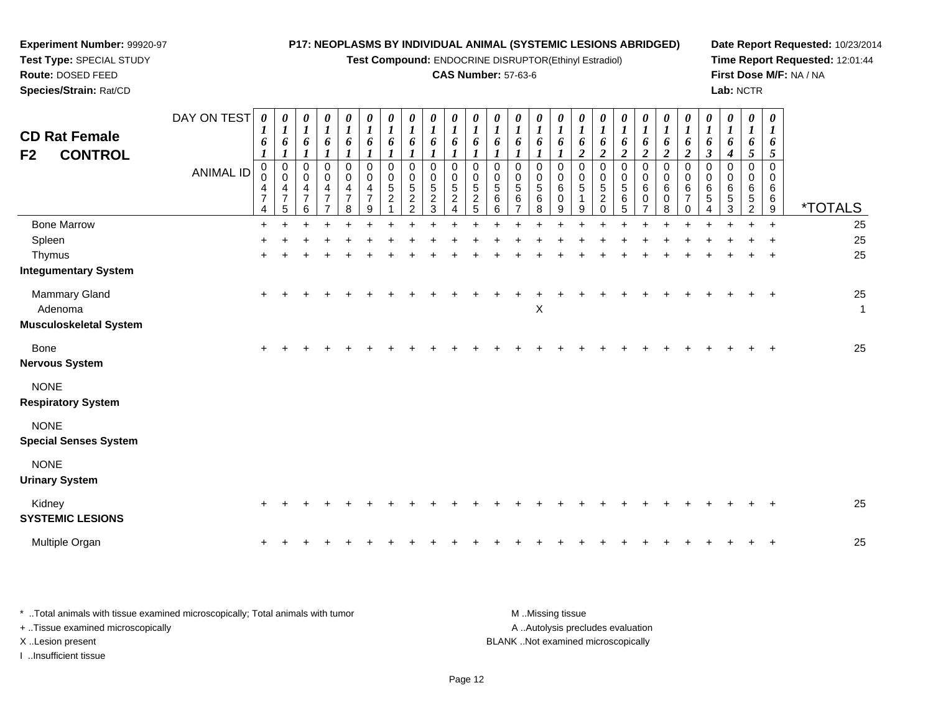**Test Compound:** ENDOCRINE DISRUPTOR(Ethinyl Estradiol)

## **CAS Number:** 57-63-6

**Date Report Requested:** 10/23/2014**Time Report Requested:** 12:01:44**First Dose M/F:** NA / NA**Lab:** NCTR

| <b>CD Rat Female</b><br>F2<br><b>CONTROL</b>       | DAY ON TEST<br><b>ANIMAL ID</b> | $\boldsymbol{\theta}$<br>1<br>6<br>$\boldsymbol{l}$<br>$\pmb{0}$<br>0<br>4<br>$\overline{7}$<br>4 | 0<br>$\boldsymbol{l}$<br>6<br>$\boldsymbol{l}$<br>$\begin{smallmatrix}0\\0\end{smallmatrix}$<br>$\overline{\mathbf{4}}$<br>$\overline{7}$<br>5 | $\boldsymbol{\theta}$<br>$\boldsymbol{l}$<br>$\pmb{6}$<br>0<br>$\mathbf 0$<br>$\overline{4}$<br>$\overline{7}$<br>6 | 0<br>$\boldsymbol{l}$<br>6<br>$\boldsymbol{l}$<br>0<br>$\pmb{0}$<br>$\overline{\mathbf{4}}$<br>$\overline{7}$<br>$\overline{ }$ | $\boldsymbol{\theta}$<br>$\boldsymbol{l}$<br>6<br>$\boldsymbol{l}$<br>$\mathbf 0$<br>$\pmb{0}$<br>$\overline{\mathbf{4}}$<br>$\overline{7}$<br>8 | 0<br>$\boldsymbol{l}$<br>6<br>$\boldsymbol{l}$<br>$\pmb{0}$<br>$\mathbf 0$<br>4<br>$\overline{7}$<br>9 | $\boldsymbol{\theta}$<br>$\boldsymbol{l}$<br>6<br>$\pmb{0}$<br>$\mathbf 0$<br>$\sqrt{5}$<br>$\overline{2}$ | 0<br>$\boldsymbol{l}$<br>6<br>$\mathbf 0$<br>0<br>5<br>$\boldsymbol{2}$<br>$\overline{2}$ | $\boldsymbol{\theta}$<br>$\boldsymbol{l}$<br>6<br>$\Omega$<br>0<br>5<br>$\overline{2}$<br>3 | 0<br>1<br>6<br>$\mathbf{0}$<br>$\Omega$<br>$\sqrt{5}$<br>$\overline{c}$ | $\boldsymbol{\theta}$<br>$\boldsymbol{l}$<br>6<br>0<br>0<br>$\sqrt{5}$<br>$\overline{2}$<br>5 | 0<br>$\boldsymbol{l}$<br>6<br>0<br>0<br>$\overline{5}$<br>$\,6\,$<br>6 | 0<br>$\boldsymbol{l}$<br>6<br>$\mathbf 0$<br>0<br>$\sqrt{5}$<br>6 | 0<br>$\boldsymbol{l}$<br>6<br>$\mathbf 0$<br>0<br>5<br>6<br>8 | 0<br>$\boldsymbol{l}$<br>6<br>$\mathbf 0$<br>0<br>6<br>0<br>9 | 0<br>$\boldsymbol{l}$<br>6<br>$\boldsymbol{2}$<br>$\mathbf 0$<br>0<br>5<br>9 | 0<br>$\boldsymbol{l}$<br>6<br>$\boldsymbol{2}$<br>$\mathbf 0$<br>0<br>5<br>$\overline{c}$<br>$\Omega$ | 0<br>$\boldsymbol{l}$<br>6<br>$\overline{c}$<br>0<br>$\pmb{0}$<br>5<br>6<br>5 | 0<br>$\boldsymbol{l}$<br>6<br>$\overline{\mathbf{c}}$<br>0<br>0<br>$\,6$<br>$\mathbf 0$<br>$\overline{7}$ | 0<br>$\boldsymbol{l}$<br>6<br>$\boldsymbol{2}$<br>$\pmb{0}$<br>$\pmb{0}$<br>6<br>0<br>8 | 0<br>$\boldsymbol{l}$<br>6<br>$\boldsymbol{2}$<br>$\pmb{0}$<br>$\pmb{0}$<br>6<br>7<br>$\Omega$ | 0<br>$\boldsymbol{l}$<br>6<br>$\boldsymbol{\beta}$<br>$\mathbf 0$<br>$\Omega$<br>6<br>5<br>4 | 0<br>$\boldsymbol{l}$<br>6<br>4<br>$\mathbf 0$<br>0<br>6<br>5<br>3 | 0<br>1<br>6<br>5<br>$\Omega$<br>0<br>6<br>5<br>$\overline{2}$ | 0<br>6<br>5<br>$\Omega$<br>$\Omega$<br>6<br>6<br>$\boldsymbol{9}$ | <i><b>*TOTALS</b></i> |
|----------------------------------------------------|---------------------------------|---------------------------------------------------------------------------------------------------|------------------------------------------------------------------------------------------------------------------------------------------------|---------------------------------------------------------------------------------------------------------------------|---------------------------------------------------------------------------------------------------------------------------------|--------------------------------------------------------------------------------------------------------------------------------------------------|--------------------------------------------------------------------------------------------------------|------------------------------------------------------------------------------------------------------------|-------------------------------------------------------------------------------------------|---------------------------------------------------------------------------------------------|-------------------------------------------------------------------------|-----------------------------------------------------------------------------------------------|------------------------------------------------------------------------|-------------------------------------------------------------------|---------------------------------------------------------------|---------------------------------------------------------------|------------------------------------------------------------------------------|-------------------------------------------------------------------------------------------------------|-------------------------------------------------------------------------------|-----------------------------------------------------------------------------------------------------------|-----------------------------------------------------------------------------------------|------------------------------------------------------------------------------------------------|----------------------------------------------------------------------------------------------|--------------------------------------------------------------------|---------------------------------------------------------------|-------------------------------------------------------------------|-----------------------|
| <b>Bone Marrow</b>                                 |                                 | $\ddot{}$                                                                                         |                                                                                                                                                |                                                                                                                     |                                                                                                                                 |                                                                                                                                                  |                                                                                                        |                                                                                                            |                                                                                           |                                                                                             |                                                                         |                                                                                               |                                                                        |                                                                   |                                                               |                                                               |                                                                              |                                                                                                       |                                                                               |                                                                                                           |                                                                                         |                                                                                                |                                                                                              |                                                                    |                                                               | $\ddot{}$                                                         | 25                    |
| Spleen                                             |                                 |                                                                                                   |                                                                                                                                                |                                                                                                                     |                                                                                                                                 |                                                                                                                                                  |                                                                                                        |                                                                                                            |                                                                                           |                                                                                             |                                                                         |                                                                                               |                                                                        |                                                                   |                                                               |                                                               |                                                                              |                                                                                                       |                                                                               |                                                                                                           |                                                                                         |                                                                                                |                                                                                              |                                                                    |                                                               |                                                                   | 25                    |
| Thymus<br><b>Integumentary System</b>              |                                 |                                                                                                   |                                                                                                                                                |                                                                                                                     |                                                                                                                                 |                                                                                                                                                  |                                                                                                        |                                                                                                            |                                                                                           |                                                                                             |                                                                         |                                                                                               |                                                                        |                                                                   |                                                               |                                                               |                                                                              |                                                                                                       |                                                                               |                                                                                                           |                                                                                         |                                                                                                |                                                                                              |                                                                    |                                                               |                                                                   | 25                    |
| Mammary Gland<br>Adenoma<br>Musculoskeletal System |                                 | $+$                                                                                               |                                                                                                                                                |                                                                                                                     |                                                                                                                                 |                                                                                                                                                  |                                                                                                        |                                                                                                            |                                                                                           |                                                                                             |                                                                         |                                                                                               |                                                                        |                                                                   | X                                                             |                                                               |                                                                              |                                                                                                       |                                                                               |                                                                                                           |                                                                                         |                                                                                                |                                                                                              |                                                                    |                                                               | $\overline{1}$                                                    | 25<br>$\mathbf{1}$    |
| <b>Bone</b><br>Nervous System                      |                                 | $\pm$                                                                                             |                                                                                                                                                |                                                                                                                     |                                                                                                                                 |                                                                                                                                                  |                                                                                                        |                                                                                                            |                                                                                           |                                                                                             |                                                                         |                                                                                               |                                                                        |                                                                   |                                                               |                                                               |                                                                              |                                                                                                       |                                                                               |                                                                                                           |                                                                                         |                                                                                                |                                                                                              |                                                                    |                                                               |                                                                   | 25                    |
| <b>NONE</b><br><b>Respiratory System</b>           |                                 |                                                                                                   |                                                                                                                                                |                                                                                                                     |                                                                                                                                 |                                                                                                                                                  |                                                                                                        |                                                                                                            |                                                                                           |                                                                                             |                                                                         |                                                                                               |                                                                        |                                                                   |                                                               |                                                               |                                                                              |                                                                                                       |                                                                               |                                                                                                           |                                                                                         |                                                                                                |                                                                                              |                                                                    |                                                               |                                                                   |                       |
| <b>NONE</b><br><b>Special Senses System</b>        |                                 |                                                                                                   |                                                                                                                                                |                                                                                                                     |                                                                                                                                 |                                                                                                                                                  |                                                                                                        |                                                                                                            |                                                                                           |                                                                                             |                                                                         |                                                                                               |                                                                        |                                                                   |                                                               |                                                               |                                                                              |                                                                                                       |                                                                               |                                                                                                           |                                                                                         |                                                                                                |                                                                                              |                                                                    |                                                               |                                                                   |                       |
| <b>NONE</b><br><b>Urinary System</b>               |                                 |                                                                                                   |                                                                                                                                                |                                                                                                                     |                                                                                                                                 |                                                                                                                                                  |                                                                                                        |                                                                                                            |                                                                                           |                                                                                             |                                                                         |                                                                                               |                                                                        |                                                                   |                                                               |                                                               |                                                                              |                                                                                                       |                                                                               |                                                                                                           |                                                                                         |                                                                                                |                                                                                              |                                                                    |                                                               |                                                                   |                       |
| Kidney<br><b>SYSTEMIC LESIONS</b>                  |                                 |                                                                                                   |                                                                                                                                                |                                                                                                                     |                                                                                                                                 |                                                                                                                                                  |                                                                                                        |                                                                                                            |                                                                                           |                                                                                             |                                                                         |                                                                                               |                                                                        |                                                                   |                                                               |                                                               |                                                                              |                                                                                                       |                                                                               |                                                                                                           |                                                                                         |                                                                                                |                                                                                              |                                                                    |                                                               |                                                                   | 25                    |
| Multiple Organ                                     |                                 | $\ddot{}$                                                                                         |                                                                                                                                                |                                                                                                                     |                                                                                                                                 |                                                                                                                                                  |                                                                                                        |                                                                                                            |                                                                                           |                                                                                             |                                                                         |                                                                                               |                                                                        |                                                                   |                                                               |                                                               |                                                                              |                                                                                                       |                                                                               |                                                                                                           |                                                                                         |                                                                                                |                                                                                              |                                                                    |                                                               |                                                                   | 25                    |

| Total animals with tissue examined microscopically; Total animals with tumor | M Missing tissue                   |
|------------------------------------------------------------------------------|------------------------------------|
| + Tissue examined microscopically                                            | A Autolysis precludes evaluation   |
| X Lesion present                                                             | BLANK Not examined microscopically |
| lnsufficient tissue                                                          |                                    |

**Experiment Number:** 99920-97**Test Type:** SPECIAL STUDY**Route:** DOSED FEED**Species/Strain:** Rat/CD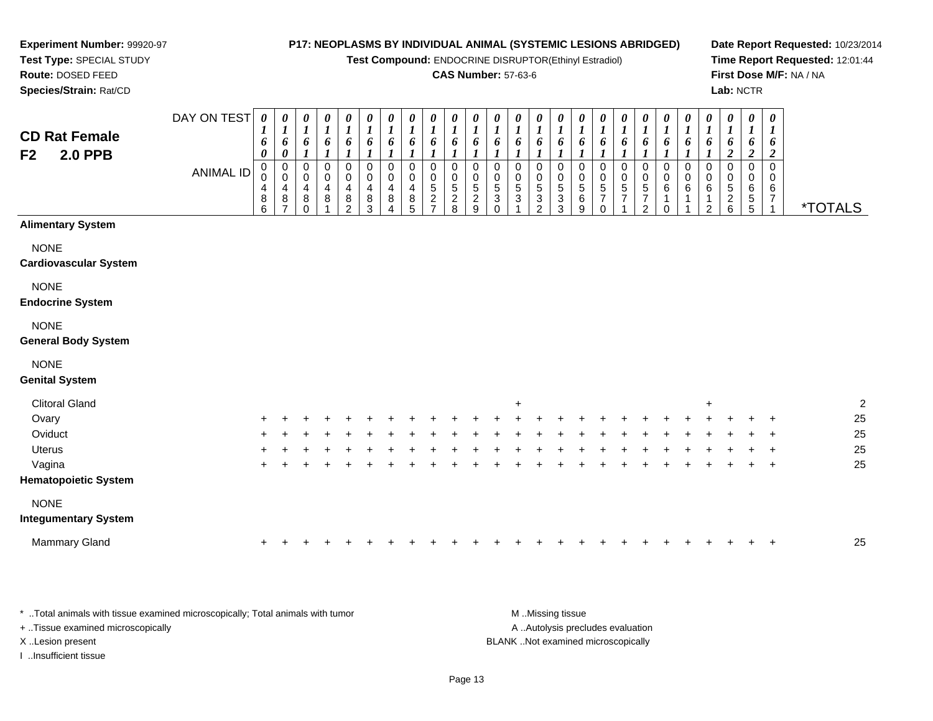**Test Compound:** ENDOCRINE DISRUPTOR(Ethinyl Estradiol)

#### **CAS Number:** 57-63-6

**Date Report Requested:** 10/23/2014**Time Report Requested:** 12:01:44**First Dose M/F:** NA / NA**Lab:** NCTR

| <b>CD Rat Female</b><br><b>2.0 PPB</b><br>F <sub>2</sub> | DAY ON TEST<br><b>ANIMAL ID</b> | 0<br>6<br>0<br>0<br>0<br>4<br>$\bf8$<br>6 | 0<br>$\boldsymbol{l}$<br>6<br>$\pmb{\theta}$<br>$\pmb{0}$<br>$\pmb{0}$<br>4<br>$\bf 8$<br>$\overline{7}$ | $\boldsymbol{\theta}$<br>$\boldsymbol{l}$<br>6<br>1<br>$\boldsymbol{0}$<br>$\mathbf 0$<br>4<br>8<br>$\Omega$ | 0<br>$\boldsymbol{l}$<br>6<br>1<br>$\pmb{0}$<br>$\pmb{0}$<br>$\overline{\mathbf{4}}$<br>$\bf 8$ | 0<br>$\boldsymbol{l}$<br>6<br>0<br>$\mathbf 0$<br>4<br>$\bf 8$<br>$\overline{2}$ | 0<br>$\boldsymbol{l}$<br>6<br>$\mathbf 0$<br>$\pmb{0}$<br>4<br>$\bf 8$<br>3 | 0<br>$\boldsymbol{l}$<br>6<br>$\boldsymbol{l}$<br>$\mathbf 0$<br>$\pmb{0}$<br>4<br>8<br>4 | 0<br>$\boldsymbol{l}$<br>6<br>$\pmb{0}$<br>$\pmb{0}$<br>$\overline{4}$<br>$\bf 8$<br>5 | 0<br>$\boldsymbol{l}$<br>6<br>0<br>$\mathbf 0$<br>$\sqrt{5}$<br>$\sqrt{2}$<br>$\overline{7}$ | 0<br>$\boldsymbol{l}$<br>6<br>$\pmb{0}$<br>$\pmb{0}$<br>$\sqrt{5}$<br>$\frac{2}{8}$ | $\boldsymbol{\theta}$<br>$\boldsymbol{l}$<br>6<br>$\boldsymbol{l}$<br>$\mathbf 0$<br>$\pmb{0}$<br>5<br>$\overline{2}$<br>9 | 0<br>$\boldsymbol{l}$<br>6<br>$\pmb{0}$<br>$\frac{0}{5}$<br>$\Omega$ | $\boldsymbol{\theta}$<br>$\boldsymbol{l}$<br>6<br>0<br>$\mathbf 0$<br>$\sqrt{5}$<br>$\mathbf 3$ | 0<br>$\boldsymbol{l}$<br>6<br>0<br>$\pmb{0}$<br>$\sqrt{5}$<br>$\sqrt{3}$<br>$\overline{2}$ | 0<br>$\boldsymbol{l}$<br>6<br>$\mathbf 0$<br>0<br>$\sqrt{5}$<br>$\sqrt{3}$<br>3 | 0<br>1<br>6<br>0<br>$\mathbf 0$<br>$5\phantom{.0}$<br>$\,6\,$<br>9 | 0<br>$\boldsymbol{l}$<br>6<br>$\boldsymbol{l}$<br>$\mathbf 0$<br>$\pmb{0}$<br>$\sqrt{5}$<br>$\overline{7}$<br>$\Omega$ | 0<br>$\boldsymbol{l}$<br>6<br>$\boldsymbol{l}$<br>$\mathbf 0$<br>$\pmb{0}$<br>5<br>$\overline{7}$ | 0<br>1<br>6<br>1<br>$\pmb{0}$<br>$\pmb{0}$<br>$\mathbf 5$<br>$\boldsymbol{7}$<br>$\overline{2}$ | 0<br>1<br>6<br>0<br>$\pmb{0}$<br>$\,6\,$<br>1<br>$\Omega$ | 0<br>$\boldsymbol{l}$<br>6<br>1<br>$\pmb{0}$<br>$\pmb{0}$<br>6 | 0<br>$\boldsymbol{l}$<br>6<br>$\boldsymbol{l}$<br>$\mathbf 0$<br>$\mathbf 0$<br>6<br>$\mathbf 1$<br>$\overline{2}$ | 0<br>$\boldsymbol{l}$<br>6<br>$\boldsymbol{2}$<br>$\mathbf 0$<br>$\pmb{0}$<br>$\sqrt{5}$<br>$\begin{array}{c} 2 \\ 6 \end{array}$ | 0<br>$\boldsymbol{l}$<br>6<br>$\boldsymbol{2}$<br>$\mathbf 0$<br>0<br>6<br>5<br>$\overline{5}$ | 0<br>$\boldsymbol{l}$<br>6<br>$\boldsymbol{2}$<br>$\Omega$<br>0<br>6<br>$\overline{7}$ | <i><b>*TOTALS</b></i> |
|----------------------------------------------------------|---------------------------------|-------------------------------------------|----------------------------------------------------------------------------------------------------------|--------------------------------------------------------------------------------------------------------------|-------------------------------------------------------------------------------------------------|----------------------------------------------------------------------------------|-----------------------------------------------------------------------------|-------------------------------------------------------------------------------------------|----------------------------------------------------------------------------------------|----------------------------------------------------------------------------------------------|-------------------------------------------------------------------------------------|----------------------------------------------------------------------------------------------------------------------------|----------------------------------------------------------------------|-------------------------------------------------------------------------------------------------|--------------------------------------------------------------------------------------------|---------------------------------------------------------------------------------|--------------------------------------------------------------------|------------------------------------------------------------------------------------------------------------------------|---------------------------------------------------------------------------------------------------|-------------------------------------------------------------------------------------------------|-----------------------------------------------------------|----------------------------------------------------------------|--------------------------------------------------------------------------------------------------------------------|-----------------------------------------------------------------------------------------------------------------------------------|------------------------------------------------------------------------------------------------|----------------------------------------------------------------------------------------|-----------------------|
| <b>Alimentary System</b>                                 |                                 |                                           |                                                                                                          |                                                                                                              |                                                                                                 |                                                                                  |                                                                             |                                                                                           |                                                                                        |                                                                                              |                                                                                     |                                                                                                                            |                                                                      |                                                                                                 |                                                                                            |                                                                                 |                                                                    |                                                                                                                        |                                                                                                   |                                                                                                 |                                                           |                                                                |                                                                                                                    |                                                                                                                                   |                                                                                                |                                                                                        |                       |
| <b>NONE</b><br><b>Cardiovascular System</b>              |                                 |                                           |                                                                                                          |                                                                                                              |                                                                                                 |                                                                                  |                                                                             |                                                                                           |                                                                                        |                                                                                              |                                                                                     |                                                                                                                            |                                                                      |                                                                                                 |                                                                                            |                                                                                 |                                                                    |                                                                                                                        |                                                                                                   |                                                                                                 |                                                           |                                                                |                                                                                                                    |                                                                                                                                   |                                                                                                |                                                                                        |                       |
| <b>NONE</b><br><b>Endocrine System</b>                   |                                 |                                           |                                                                                                          |                                                                                                              |                                                                                                 |                                                                                  |                                                                             |                                                                                           |                                                                                        |                                                                                              |                                                                                     |                                                                                                                            |                                                                      |                                                                                                 |                                                                                            |                                                                                 |                                                                    |                                                                                                                        |                                                                                                   |                                                                                                 |                                                           |                                                                |                                                                                                                    |                                                                                                                                   |                                                                                                |                                                                                        |                       |
| <b>NONE</b><br><b>General Body System</b>                |                                 |                                           |                                                                                                          |                                                                                                              |                                                                                                 |                                                                                  |                                                                             |                                                                                           |                                                                                        |                                                                                              |                                                                                     |                                                                                                                            |                                                                      |                                                                                                 |                                                                                            |                                                                                 |                                                                    |                                                                                                                        |                                                                                                   |                                                                                                 |                                                           |                                                                |                                                                                                                    |                                                                                                                                   |                                                                                                |                                                                                        |                       |
| <b>NONE</b><br><b>Genital System</b>                     |                                 |                                           |                                                                                                          |                                                                                                              |                                                                                                 |                                                                                  |                                                                             |                                                                                           |                                                                                        |                                                                                              |                                                                                     |                                                                                                                            |                                                                      |                                                                                                 |                                                                                            |                                                                                 |                                                                    |                                                                                                                        |                                                                                                   |                                                                                                 |                                                           |                                                                |                                                                                                                    |                                                                                                                                   |                                                                                                |                                                                                        |                       |
| <b>Clitoral Gland</b>                                    |                                 |                                           |                                                                                                          |                                                                                                              |                                                                                                 |                                                                                  |                                                                             |                                                                                           |                                                                                        |                                                                                              |                                                                                     |                                                                                                                            |                                                                      | $\ddot{}$                                                                                       |                                                                                            |                                                                                 |                                                                    |                                                                                                                        |                                                                                                   |                                                                                                 |                                                           |                                                                | $\ddot{}$                                                                                                          |                                                                                                                                   |                                                                                                |                                                                                        | $\overline{c}$        |
| Ovary                                                    |                                 |                                           |                                                                                                          |                                                                                                              |                                                                                                 |                                                                                  |                                                                             |                                                                                           |                                                                                        |                                                                                              |                                                                                     |                                                                                                                            |                                                                      |                                                                                                 |                                                                                            |                                                                                 |                                                                    |                                                                                                                        |                                                                                                   |                                                                                                 |                                                           |                                                                |                                                                                                                    |                                                                                                                                   |                                                                                                |                                                                                        | 25                    |
| Oviduct                                                  |                                 |                                           |                                                                                                          |                                                                                                              |                                                                                                 |                                                                                  |                                                                             |                                                                                           |                                                                                        |                                                                                              |                                                                                     |                                                                                                                            |                                                                      |                                                                                                 |                                                                                            |                                                                                 |                                                                    |                                                                                                                        |                                                                                                   |                                                                                                 |                                                           |                                                                |                                                                                                                    |                                                                                                                                   |                                                                                                |                                                                                        | 25                    |
| Uterus                                                   |                                 |                                           |                                                                                                          |                                                                                                              |                                                                                                 |                                                                                  |                                                                             |                                                                                           |                                                                                        |                                                                                              |                                                                                     |                                                                                                                            |                                                                      |                                                                                                 |                                                                                            |                                                                                 |                                                                    |                                                                                                                        |                                                                                                   |                                                                                                 |                                                           |                                                                |                                                                                                                    |                                                                                                                                   |                                                                                                |                                                                                        | 25                    |
| Vagina                                                   |                                 |                                           |                                                                                                          |                                                                                                              |                                                                                                 |                                                                                  |                                                                             |                                                                                           |                                                                                        |                                                                                              |                                                                                     |                                                                                                                            |                                                                      |                                                                                                 |                                                                                            |                                                                                 |                                                                    |                                                                                                                        |                                                                                                   |                                                                                                 |                                                           |                                                                |                                                                                                                    |                                                                                                                                   |                                                                                                | $\ddot{}$                                                                              | 25                    |
| <b>Hematopoietic System</b>                              |                                 |                                           |                                                                                                          |                                                                                                              |                                                                                                 |                                                                                  |                                                                             |                                                                                           |                                                                                        |                                                                                              |                                                                                     |                                                                                                                            |                                                                      |                                                                                                 |                                                                                            |                                                                                 |                                                                    |                                                                                                                        |                                                                                                   |                                                                                                 |                                                           |                                                                |                                                                                                                    |                                                                                                                                   |                                                                                                |                                                                                        |                       |
| <b>NONE</b>                                              |                                 |                                           |                                                                                                          |                                                                                                              |                                                                                                 |                                                                                  |                                                                             |                                                                                           |                                                                                        |                                                                                              |                                                                                     |                                                                                                                            |                                                                      |                                                                                                 |                                                                                            |                                                                                 |                                                                    |                                                                                                                        |                                                                                                   |                                                                                                 |                                                           |                                                                |                                                                                                                    |                                                                                                                                   |                                                                                                |                                                                                        |                       |
| <b>Integumentary System</b>                              |                                 |                                           |                                                                                                          |                                                                                                              |                                                                                                 |                                                                                  |                                                                             |                                                                                           |                                                                                        |                                                                                              |                                                                                     |                                                                                                                            |                                                                      |                                                                                                 |                                                                                            |                                                                                 |                                                                    |                                                                                                                        |                                                                                                   |                                                                                                 |                                                           |                                                                |                                                                                                                    |                                                                                                                                   |                                                                                                |                                                                                        |                       |
| Mammary Gland                                            |                                 |                                           |                                                                                                          |                                                                                                              |                                                                                                 |                                                                                  |                                                                             |                                                                                           |                                                                                        |                                                                                              |                                                                                     |                                                                                                                            |                                                                      |                                                                                                 |                                                                                            |                                                                                 |                                                                    |                                                                                                                        |                                                                                                   |                                                                                                 |                                                           |                                                                |                                                                                                                    |                                                                                                                                   |                                                                                                |                                                                                        | 25                    |

\* ..Total animals with tissue examined microscopically; Total animals with tumor **M** ...Missing tissue M ...Missing tissue A .. Autolysis precludes evaluation + ..Tissue examined microscopically X ..Lesion present BLANK ..Not examined microscopicallyI ..Insufficient tissue

**Experiment Number:** 99920-97**Test Type:** SPECIAL STUDY**Route:** DOSED FEED**Species/Strain:** Rat/CD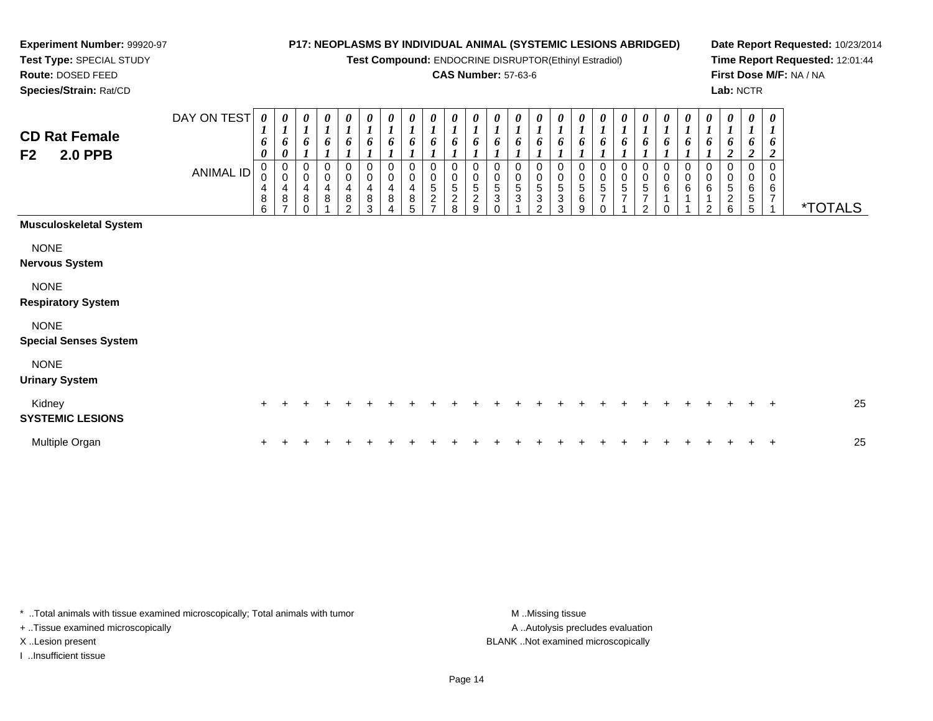**Test Compound:** ENDOCRINE DISRUPTOR(Ethinyl Estradiol)

## **CAS Number:** 57-63-6

**Date Report Requested:** 10/23/2014**Time Report Requested:** 12:01:44**First Dose M/F:** NA / NA**Lab:** NCTR

**Test Type:** SPECIAL STUDY**Route:** DOSED FEED**Species/Strain:** Rat/CD

**Experiment Number:** 99920-97

| <b>CD Rat Female</b><br><b>2.0 PPB</b><br>F <sub>2</sub> | DAY ON TEST<br><b>ANIMAL ID</b> | $\boldsymbol{\theta}$<br>$\boldsymbol{l}$<br>6<br>$\boldsymbol{\theta}$<br>0<br>$\boldsymbol{0}$<br>4<br>8<br>6 | 0<br>$\boldsymbol{l}$<br>6<br>0<br>$\,0\,$<br>$\mathbf 0$<br>$\overline{\mathbf{4}}$<br>$\bf8$ | 0<br>$\boldsymbol{l}$<br>6<br>$\pmb{0}$<br>$\pmb{0}$<br>4<br>$\bf8$<br>$\Omega$ | 0<br>$\boldsymbol{l}$<br>6<br>0<br>4<br>8 | 0<br>$\mathbf{I}$<br>6<br>0<br>$\pmb{0}$<br>4<br>8<br>2 | 0<br>$\boldsymbol{l}$<br>6<br>0<br>0<br>4<br>8<br>3 | 0<br>$\boldsymbol{l}$<br>6<br>0<br>0<br>$\overline{\mathbf{4}}$<br>$\bf 8$ | 0<br>$\boldsymbol{l}$<br>6<br>0<br>$\pmb{0}$<br>4<br>$\bf8$<br>5 | 0<br>$\boldsymbol{l}$<br>6<br>$\mathbf 0$<br>$\mathbf 0$<br>$\frac{5}{2}$<br>$\overline{ }$ | 0<br>$\boldsymbol{l}$<br>6<br>0<br>$\pmb{0}$<br>5<br>$\overline{c}$<br>8 | 0<br>$\boldsymbol{l}$<br>6<br>$\mathbf 0$<br>0<br>5<br>$\boldsymbol{2}$<br>9 | 0<br>$\mathbf{I}$<br>6<br>0<br>0<br>5<br>$\mathbf{3}$<br>$\Omega$ | 0<br>$\boldsymbol{l}$<br>6<br>0<br>$\mathbf 0$<br>5<br>$\mathbf{3}$ | 0<br>$\boldsymbol{l}$<br>6<br>0<br>0<br>$\,$ 5 $\,$<br>$\ensuremath{\mathsf{3}}$<br>2 | 0<br>$\boldsymbol{l}$<br>6<br>0<br>$\pmb{0}$<br>$\sqrt{5}$<br>3<br>3 | 0<br>$\boldsymbol{l}$<br>6<br>$\pmb{0}$<br>$\,0\,$<br>$\frac{5}{6}$<br>9 | 0<br>$\boldsymbol{l}$<br>6<br>0<br>$\pmb{0}$<br>$\frac{5}{7}$<br>$\Omega$ | 0<br>0<br>0<br>$\,0\,$<br>5<br>$\overline{7}$ | 0<br>6<br>0<br>$\,0\,$<br>$\mathbf 5$<br>7<br>2 | $\boldsymbol{\theta}$<br>6<br>0<br>$\mathbf 0$<br>$\,6$ | 0<br>$\boldsymbol{l}$<br>6<br>0<br>0<br>6 | 0<br>$\boldsymbol{l}$<br>6<br>0<br>$\pmb{0}$<br>$\,6$<br>1<br>2 | 0<br>$\boldsymbol{l}$<br>6<br>$\overline{2}$<br>0<br>0<br>5<br>$\sqrt{2}$<br>6 | 0<br>$\boldsymbol{l}$<br>$\bm{o}$<br>2<br>$\mathbf 0$<br>0<br>$\,6$<br>$\sqrt{5}$<br>5 | $\pmb{\theta}$<br>$\boldsymbol{l}$<br>6<br>$\overline{\mathbf{2}}$<br>$\mathbf 0$<br>0<br>6<br>7 | <i><b>*TOTALS</b></i> |
|----------------------------------------------------------|---------------------------------|-----------------------------------------------------------------------------------------------------------------|------------------------------------------------------------------------------------------------|---------------------------------------------------------------------------------|-------------------------------------------|---------------------------------------------------------|-----------------------------------------------------|----------------------------------------------------------------------------|------------------------------------------------------------------|---------------------------------------------------------------------------------------------|--------------------------------------------------------------------------|------------------------------------------------------------------------------|-------------------------------------------------------------------|---------------------------------------------------------------------|---------------------------------------------------------------------------------------|----------------------------------------------------------------------|--------------------------------------------------------------------------|---------------------------------------------------------------------------|-----------------------------------------------|-------------------------------------------------|---------------------------------------------------------|-------------------------------------------|-----------------------------------------------------------------|--------------------------------------------------------------------------------|----------------------------------------------------------------------------------------|--------------------------------------------------------------------------------------------------|-----------------------|
| <b>Musculoskeletal System</b>                            |                                 |                                                                                                                 |                                                                                                |                                                                                 |                                           |                                                         |                                                     |                                                                            |                                                                  |                                                                                             |                                                                          |                                                                              |                                                                   |                                                                     |                                                                                       |                                                                      |                                                                          |                                                                           |                                               |                                                 |                                                         |                                           |                                                                 |                                                                                |                                                                                        |                                                                                                  |                       |
| <b>NONE</b><br><b>Nervous System</b>                     |                                 |                                                                                                                 |                                                                                                |                                                                                 |                                           |                                                         |                                                     |                                                                            |                                                                  |                                                                                             |                                                                          |                                                                              |                                                                   |                                                                     |                                                                                       |                                                                      |                                                                          |                                                                           |                                               |                                                 |                                                         |                                           |                                                                 |                                                                                |                                                                                        |                                                                                                  |                       |
| <b>NONE</b><br><b>Respiratory System</b>                 |                                 |                                                                                                                 |                                                                                                |                                                                                 |                                           |                                                         |                                                     |                                                                            |                                                                  |                                                                                             |                                                                          |                                                                              |                                                                   |                                                                     |                                                                                       |                                                                      |                                                                          |                                                                           |                                               |                                                 |                                                         |                                           |                                                                 |                                                                                |                                                                                        |                                                                                                  |                       |
| <b>NONE</b><br><b>Special Senses System</b>              |                                 |                                                                                                                 |                                                                                                |                                                                                 |                                           |                                                         |                                                     |                                                                            |                                                                  |                                                                                             |                                                                          |                                                                              |                                                                   |                                                                     |                                                                                       |                                                                      |                                                                          |                                                                           |                                               |                                                 |                                                         |                                           |                                                                 |                                                                                |                                                                                        |                                                                                                  |                       |
| <b>NONE</b><br><b>Urinary System</b>                     |                                 |                                                                                                                 |                                                                                                |                                                                                 |                                           |                                                         |                                                     |                                                                            |                                                                  |                                                                                             |                                                                          |                                                                              |                                                                   |                                                                     |                                                                                       |                                                                      |                                                                          |                                                                           |                                               |                                                 |                                                         |                                           |                                                                 |                                                                                |                                                                                        |                                                                                                  |                       |
| Kidney<br><b>SYSTEMIC LESIONS</b>                        |                                 |                                                                                                                 |                                                                                                |                                                                                 |                                           |                                                         |                                                     |                                                                            |                                                                  |                                                                                             |                                                                          |                                                                              |                                                                   |                                                                     |                                                                                       |                                                                      |                                                                          |                                                                           |                                               |                                                 |                                                         |                                           |                                                                 |                                                                                |                                                                                        | $\pm$                                                                                            | 25                    |
| Multiple Organ                                           |                                 |                                                                                                                 |                                                                                                |                                                                                 |                                           |                                                         |                                                     |                                                                            |                                                                  |                                                                                             |                                                                          |                                                                              |                                                                   |                                                                     |                                                                                       |                                                                      |                                                                          |                                                                           |                                               |                                                 |                                                         |                                           |                                                                 |                                                                                |                                                                                        | $\ddot{}$                                                                                        | 25                    |

\* ..Total animals with tissue examined microscopically; Total animals with tumor **M** . Missing tissue M ..Missing tissue + ..Tissue examined microscopically X ..Lesion present BLANK ..Not examined microscopically

I ..Insufficient tissue

A ..Autolysis precludes evaluation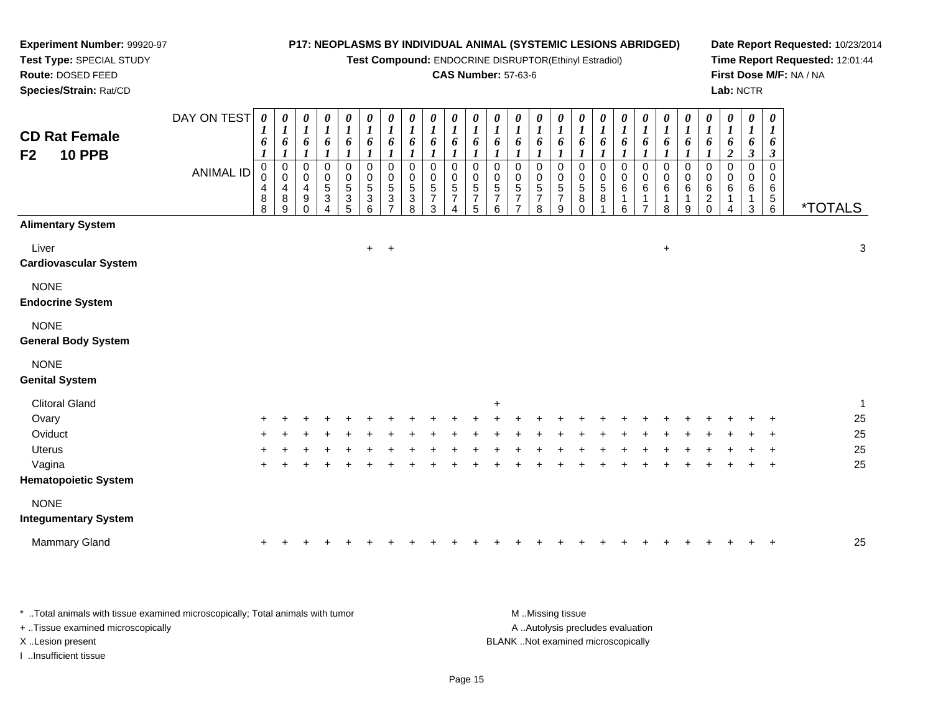**Test Compound:** ENDOCRINE DISRUPTOR(Ethinyl Estradiol)

## **CAS Number:** 57-63-6

**Date Report Requested:** 10/23/2014**Time Report Requested:** 12:01:44**First Dose M/F:** NA / NA**Lab:** NCTR

| Species/Strain: Rat/CD                    |             |                                                                      |                                                 |                                                                     |                                                      |                                                      |                                                      |                                           |                                                |                                              |                                            |                                                              |                                           |                                                 |                                                      |                                                |                                                   |                                          |                       |                             |                                |                                                            |                                         |                       | Lab: NCTR                                                        |                                                                          |                       |   |
|-------------------------------------------|-------------|----------------------------------------------------------------------|-------------------------------------------------|---------------------------------------------------------------------|------------------------------------------------------|------------------------------------------------------|------------------------------------------------------|-------------------------------------------|------------------------------------------------|----------------------------------------------|--------------------------------------------|--------------------------------------------------------------|-------------------------------------------|-------------------------------------------------|------------------------------------------------------|------------------------------------------------|---------------------------------------------------|------------------------------------------|-----------------------|-----------------------------|--------------------------------|------------------------------------------------------------|-----------------------------------------|-----------------------|------------------------------------------------------------------|--------------------------------------------------------------------------|-----------------------|---|
| <b>CD Rat Female</b>                      | DAY ON TEST | $\boldsymbol{\theta}$<br>$\boldsymbol{l}$<br>6                       | 0<br>L<br>6                                     | $\boldsymbol{\theta}$<br>$\boldsymbol{l}$                           | 0<br>$\overline{ }$<br>6                             | 0<br>$\boldsymbol{l}$<br>$\pmb{6}$                   | 0<br>$\boldsymbol{l}$<br>$\boldsymbol{\delta}$       | 0<br>6                                    | $\boldsymbol{\theta}$<br>$\boldsymbol{l}$<br>6 | 0<br>6                                       | $\boldsymbol{\theta}$<br>$\mathbf{I}$<br>6 | 0<br>$\boldsymbol{l}$<br>6                                   | 0<br>6                                    | $\boldsymbol{\theta}$<br>$\boldsymbol{l}$       | $\boldsymbol{\theta}$<br>6                           | $\boldsymbol{\theta}$<br>6                     | 0<br>$\boldsymbol{I}$<br>6                        | 0<br>6                                   | $\boldsymbol{l}$      | 6                           | 0<br>6                         | 0<br>$\boldsymbol{l}$<br>6                                 | 0<br>$\overline{ }$<br>o                | $\boldsymbol{l}$      | 0<br>$\mathbf{I}$<br>6                                           | 0<br>6                                                                   |                       |   |
| <b>10 PPB</b><br>F <sub>2</sub>           | ANIMAL ID   | $\pmb{0}$<br>$\mathbf 0$<br>$\overline{\mathcal{A}}$<br>$\,8\,$<br>8 | $\mathbf 0$<br>$\mathbf 0$<br>4<br>$\bf 8$<br>9 | $\pmb{0}$<br>$\mathbf 0$<br>$\overline{4}$<br>$\boldsymbol{9}$<br>0 | $\begin{array}{c} 0 \\ 0 \\ 5 \\ 3 \end{array}$<br>4 | $\begin{matrix}0\\0\\5\\3\end{matrix}$<br>$\sqrt{5}$ | $\begin{array}{c} 0 \\ 0 \\ 5 \\ 3 \end{array}$<br>6 | 0<br>$\pmb{0}$<br>5<br>3<br>$\rightarrow$ | 0<br>$\mathbf 0$<br>$\sqrt{5}$<br>3<br>8       | 0<br>$\mathbf 0$<br>5<br>$\overline{ }$<br>3 | $_{\rm 0}^{\rm 0}$<br>$\frac{5}{7}$<br>4   | $\pmb{0}$<br>$\pmb{0}$<br>$\,$ 5 $\,$<br>$\overline{ }$<br>5 | 0<br>$\pmb{0}$<br>5<br>$\rightarrow$<br>6 | 0<br>0<br>5<br>$\overline{z}$<br>$\overline{ }$ | 0<br>$\mathsf 0$<br>$\sqrt{5}$<br>$\rightarrow$<br>8 | $\mathbf 0$<br>$\pmb{0}$<br>$\frac{5}{7}$<br>9 | $_{\rm 0}^{\rm 0}$<br>$\,$ 5 $\,$<br>$\bf 8$<br>0 | 0<br>$\boldsymbol{0}$<br>$\sqrt{5}$<br>8 | $\mathsf 0$<br>6<br>6 | 0<br>$\mathbf 0$<br>$\,6\,$ | 0<br>$\pmb{0}$<br>$\,6\,$<br>8 | $\pmb{0}$<br>$\mathbf 0$<br>$\,6\,$<br>$\overline{A}$<br>9 | 0<br>$\pmb{0}$<br>6<br>$\boldsymbol{2}$ | $\boldsymbol{0}$<br>6 | $\mathbf{3}$<br>$\pmb{0}$<br>0<br>$\,6\,$<br>$\overline{A}$<br>3 | $\boldsymbol{\beta}$<br>0<br>0<br>6<br>5 <sub>5</sub><br>$6\overline{6}$ | <i><b>*TOTALS</b></i> |   |
| <b>Alimentary System</b>                  |             |                                                                      |                                                 |                                                                     |                                                      |                                                      |                                                      |                                           |                                                |                                              |                                            |                                                              |                                           |                                                 |                                                      |                                                |                                                   |                                          |                       |                             |                                |                                                            |                                         |                       |                                                                  |                                                                          |                       |   |
| Liver<br><b>Cardiovascular System</b>     |             |                                                                      |                                                 |                                                                     |                                                      |                                                      |                                                      | $+$ $+$                                   |                                                |                                              |                                            |                                                              |                                           |                                                 |                                                      |                                                |                                                   |                                          |                       |                             | $\ddot{}$                      |                                                            |                                         |                       |                                                                  |                                                                          |                       | 3 |
| <b>NONE</b><br><b>Endocrine System</b>    |             |                                                                      |                                                 |                                                                     |                                                      |                                                      |                                                      |                                           |                                                |                                              |                                            |                                                              |                                           |                                                 |                                                      |                                                |                                                   |                                          |                       |                             |                                |                                                            |                                         |                       |                                                                  |                                                                          |                       |   |
| <b>NONE</b><br><b>General Body System</b> |             |                                                                      |                                                 |                                                                     |                                                      |                                                      |                                                      |                                           |                                                |                                              |                                            |                                                              |                                           |                                                 |                                                      |                                                |                                                   |                                          |                       |                             |                                |                                                            |                                         |                       |                                                                  |                                                                          |                       |   |

# NONE

#### **Genital System**

**Experiment Number:** 99920-97**Test Type:** SPECIAL STUDY**Route:** DOSED FEED

| <b>Clitoral Gland</b>       |     |   |   |  |  |  | $+$ |  |  |   |     |     |   |  |         |    |
|-----------------------------|-----|---|---|--|--|--|-----|--|--|---|-----|-----|---|--|---------|----|
| Ovary                       | $+$ | ÷ |   |  |  |  |     |  |  | ÷ | ÷   | ÷   |   |  | $+$ $+$ | 25 |
| Oviduct                     | $+$ | ÷ |   |  |  |  |     |  |  | ÷ | ÷   | $+$ | ÷ |  | $+$ $+$ | 25 |
| <b>Uterus</b>               | $+$ | ÷ |   |  |  |  |     |  |  | ÷ | ÷.  | $+$ |   |  | $+$ $+$ | 25 |
| Vagina                      | $+$ |   | + |  |  |  |     |  |  | ÷ | $+$ | $+$ |   |  | $+$ $+$ | 25 |
| <b>Hematopoietic System</b> |     |   |   |  |  |  |     |  |  |   |     |     |   |  |         |    |
| <b>NONE</b>                 |     |   |   |  |  |  |     |  |  |   |     |     |   |  |         |    |
| <b>Integumentary System</b> |     |   |   |  |  |  |     |  |  |   |     |     |   |  |         |    |
|                             |     |   |   |  |  |  |     |  |  |   |     |     |   |  |         |    |

| <b>Mammary Gland</b> |  |  |  |  |  |  |  |  |  |  |  |  |  |  |  |  |  |  |  |  |  |  |  |  |  |  | 25 |
|----------------------|--|--|--|--|--|--|--|--|--|--|--|--|--|--|--|--|--|--|--|--|--|--|--|--|--|--|----|
|----------------------|--|--|--|--|--|--|--|--|--|--|--|--|--|--|--|--|--|--|--|--|--|--|--|--|--|--|----|

| * Total animals with tissue examined microscopically; Total animals with tumor | M Missing tissue                   |
|--------------------------------------------------------------------------------|------------------------------------|
| + Tissue examined microscopically                                              | A Autolysis precludes evaluation   |
| X Lesion present                                                               | BLANK Not examined microscopically |
| …Insufficient tissue                                                           |                                    |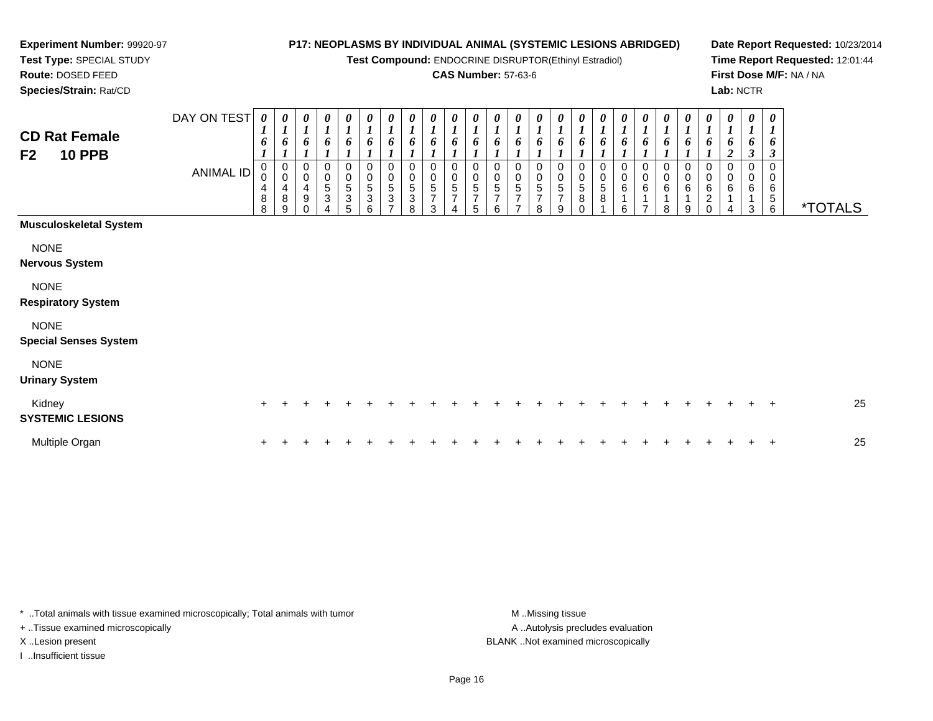**Test Compound:** ENDOCRINE DISRUPTOR(Ethinyl Estradiol)

## **CAS Number:** 57-63-6

**Date Report Requested:** 10/23/2014**Time Report Requested:** 12:01:44**First Dose M/F:** NA / NA**Lab:** NCTR

**Route:** DOSED FEED **Species/Strain:** Rat/CDDAY ON TEST*0000000000000000000000000***CD Rat Female**

|                                             | <b>ANIMAL ID</b> | 0<br>$\pmb{0}$<br>4<br>8<br>8 | 0<br>$\mathbf 0$<br>4<br>8<br>9 | 0<br>0<br>4<br>9 | 0<br>$\pmb{0}$<br>$\sqrt{5}$<br>3 | $\,0\,$<br>$\begin{smallmatrix}0\0\5\end{smallmatrix}$<br>3<br>5 | 0<br>$\pmb{0}$<br>$\sqrt{5}$<br>3<br>6 | 0<br>5<br>3 | 0<br>$\sqrt{5}$<br>3<br>8 | 0<br>0<br>5<br>$\overline{\phantom{a}}$<br>3 | 0<br>0<br>5<br>$\overline{\phantom{a}}$<br>4 | $\pmb{0}$<br>5<br>7<br>5 | 0<br>$\pmb{0}$<br>5<br>$\overline{ }$<br>6 | $\pmb{0}$<br>5<br>$\overline{7}$<br>$\overline{ }$ | $\pmb{0}$<br>5<br>$\overline{7}$<br>8 | 0<br>$\pmb{0}$<br>$\sqrt{5}$<br>7<br>9 | $\begin{matrix}0\0\5\end{matrix}$<br>8<br>$\Omega$ | 0<br>$\begin{array}{c} 0 \\ 5 \end{array}$<br>$\bf 8$ | 0<br>6<br>6 | 0<br>$\pmb{0}$<br>$\,6\,$<br>$\overline{\phantom{a}}$ | 0<br>0<br>6<br>8 | 0<br>0<br>6<br>9 | 6 | $\overline{\mathbf{c}}$<br>$\Omega$<br>0<br>6<br>4 | $\boldsymbol{\beta}$<br>0<br>0<br>6<br>3 | $\mathfrak{z}$<br>0<br>6<br>$\frac{5}{6}$ | <i><b>*TOTALS</b></i> |
|---------------------------------------------|------------------|-------------------------------|---------------------------------|------------------|-----------------------------------|------------------------------------------------------------------|----------------------------------------|-------------|---------------------------|----------------------------------------------|----------------------------------------------|--------------------------|--------------------------------------------|----------------------------------------------------|---------------------------------------|----------------------------------------|----------------------------------------------------|-------------------------------------------------------|-------------|-------------------------------------------------------|------------------|------------------|---|----------------------------------------------------|------------------------------------------|-------------------------------------------|-----------------------|
| Musculoskeletal System                      |                  |                               |                                 |                  |                                   |                                                                  |                                        |             |                           |                                              |                                              |                          |                                            |                                                    |                                       |                                        |                                                    |                                                       |             |                                                       |                  |                  |   |                                                    |                                          |                                           |                       |
| <b>NONE</b><br>Nervous System               |                  |                               |                                 |                  |                                   |                                                                  |                                        |             |                           |                                              |                                              |                          |                                            |                                                    |                                       |                                        |                                                    |                                                       |             |                                                       |                  |                  |   |                                                    |                                          |                                           |                       |
| <b>NONE</b><br><b>Respiratory System</b>    |                  |                               |                                 |                  |                                   |                                                                  |                                        |             |                           |                                              |                                              |                          |                                            |                                                    |                                       |                                        |                                                    |                                                       |             |                                                       |                  |                  |   |                                                    |                                          |                                           |                       |
| <b>NONE</b><br><b>Special Senses System</b> |                  |                               |                                 |                  |                                   |                                                                  |                                        |             |                           |                                              |                                              |                          |                                            |                                                    |                                       |                                        |                                                    |                                                       |             |                                                       |                  |                  |   |                                                    |                                          |                                           |                       |
| <b>NONE</b><br><b>Urinary System</b>        |                  |                               |                                 |                  |                                   |                                                                  |                                        |             |                           |                                              |                                              |                          |                                            |                                                    |                                       |                                        |                                                    |                                                       |             |                                                       |                  |                  |   |                                                    |                                          |                                           |                       |
| Kidney<br><b>SYSTEMIC LESIONS</b>           |                  | $+$                           |                                 |                  |                                   |                                                                  |                                        |             |                           |                                              |                                              |                          |                                            |                                                    |                                       |                                        |                                                    |                                                       |             |                                                       |                  |                  |   |                                                    |                                          | $\pm$                                     | 25                    |
| Multiple Organ                              |                  | $\pm$                         |                                 |                  |                                   |                                                                  |                                        |             |                           |                                              |                                              |                          |                                            |                                                    |                                       |                                        |                                                    |                                                       |             |                                                       |                  |                  |   |                                                    |                                          | $+$                                       | 25                    |

\* ..Total animals with tissue examined microscopically; Total animals with tumor

+ ..Tissue examined microscopically

**Experiment Number:** 99920-97**Test Type:** SPECIAL STUDY

I ..Insufficient tissue

A .. Autolysis precludes evaluation X ..Lesion present BLANK ..Not examined microscopically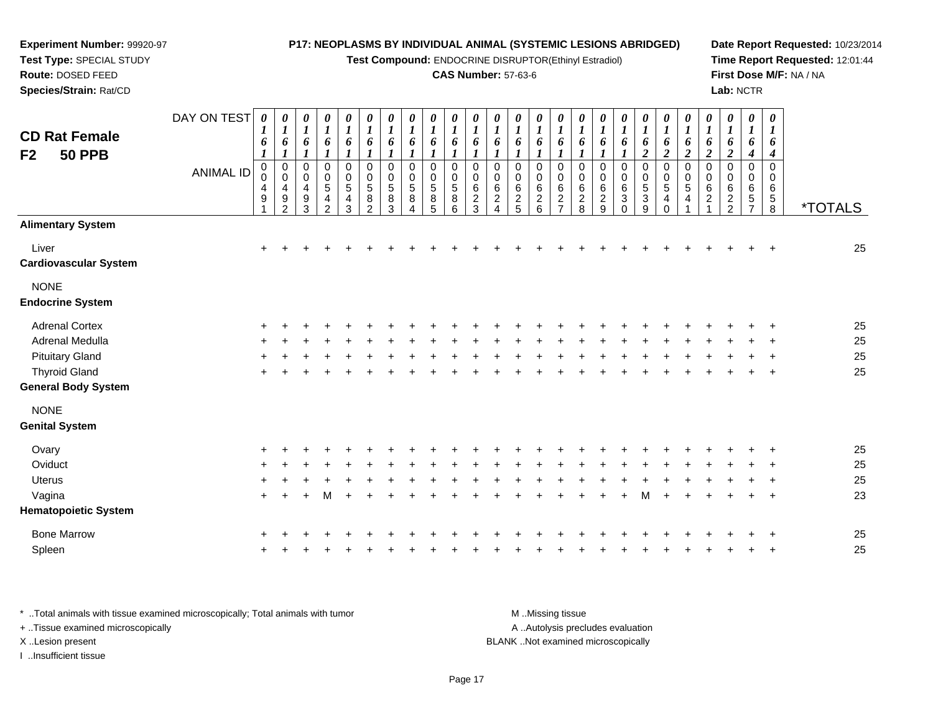**Test Compound:** ENDOCRINE DISRUPTOR(Ethinyl Estradiol)

#### **CAS Number:** 57-63-6

**Date Report Requested:** 10/23/2014**Time Report Requested:** 12:01:44**First Dose M/F:** NA / NA**Lab:** NCTR

| <b>CD Rat Female</b><br>F <sub>2</sub><br><b>50 PPB</b> | DAY ON TEST<br><b>ANIMAL ID</b> | $\boldsymbol{\theta}$<br>6<br>$\boldsymbol{l}$<br>$\mathbf 0$<br>0<br>4<br>9 | 0<br>$\boldsymbol{l}$<br>6<br>$\boldsymbol{l}$<br>$\begin{smallmatrix}0\\0\end{smallmatrix}$<br>$\overline{\mathbf{4}}$<br>$\boldsymbol{9}$<br>$\mathcal{P}$ | $\boldsymbol{\theta}$<br>$\boldsymbol{l}$<br>6<br>0<br>$\boldsymbol{0}$<br>$\overline{4}$<br>$\boldsymbol{9}$<br>3 | 0<br>$\boldsymbol{l}$<br>6<br>$\mathbf{I}$<br>0<br>$\pmb{0}$<br>$\overline{5}$<br>4<br>2 | $\pmb{\theta}$<br>$\boldsymbol{l}$<br>6<br>$\pmb{0}$<br>$\mathbf 0$<br>$\overline{5}$<br>4<br>3 | 0<br>$\boldsymbol{l}$<br>6<br>$\pmb{0}$<br>$\begin{array}{c} 0 \\ 5 \end{array}$<br>$\bf 8$<br>$\mathfrak{p}$ | $\boldsymbol{\theta}$<br>$\boldsymbol{l}$<br>6<br>$\pmb{0}$<br>0<br>$\sqrt{5}$<br>8<br>3 | $\boldsymbol{\theta}$<br>$\boldsymbol{l}$<br>6<br>0<br>0<br>5<br>8 | $\boldsymbol{\theta}$<br>$\boldsymbol{l}$<br>6<br>$\mathbf 0$<br>$\mathbf 0$<br>$\overline{5}$<br>8<br>5 | 0<br>1<br>6<br>0<br>0<br>$\sqrt{5}$<br>$\bf 8$<br>6 | 0<br>$\bm{l}$<br>6<br>0<br>0<br>$\,6\,$<br>$\boldsymbol{2}$<br>$\overline{3}$ | 0<br>$\boldsymbol{l}$<br>6<br>0<br>0<br>$\,6\,$<br>$\overline{2}$<br>$\boldsymbol{\Lambda}$ | 0<br>$\bm{l}$<br>6<br>$\mathbf 0$<br>0<br>$\,6\,$<br>$\sqrt{2}$<br>5 | 0<br>$\boldsymbol{l}$<br>6<br>0<br>0<br>$\,6$<br>$\overline{2}$<br>6 | 0<br>1<br>6<br>1<br>$\mathbf 0$<br>0<br>$\,6\,$<br>$\overline{2}$<br>$\overline{7}$ | 0<br>1<br>6<br>1<br>$\pmb{0}$<br>0<br>6<br>$\overline{c}$<br>8 | 0<br>1<br>6<br>$\boldsymbol{l}$<br>$\pmb{0}$<br>0<br>$\,6$<br>$\boldsymbol{2}$<br>9 | 0<br>$\boldsymbol{l}$<br>6<br>$\pmb{0}$<br>0<br>$\,6\,$<br>3<br>$\Omega$ | 0<br>$\boldsymbol{l}$<br>6<br>$\overline{c}$<br>0<br>$\boldsymbol{0}$<br>$\frac{5}{3}$<br>9 | $\pmb{\theta}$<br>$\boldsymbol{l}$<br>6<br>$\boldsymbol{2}$<br>$\pmb{0}$<br>$\pmb{0}$<br>5<br>$\overline{4}$<br>$\Omega$ | 0<br>$\boldsymbol{l}$<br>6<br>$\boldsymbol{2}$<br>$\mathbf 0$<br>0<br>$\sqrt{5}$<br>4 | 0<br>$\boldsymbol{l}$<br>6<br>$\boldsymbol{2}$<br>$\mathbf 0$<br>0<br>6<br>$\overline{c}$ | 0<br>$\boldsymbol{l}$<br>6<br>$\boldsymbol{2}$<br>0<br>0<br>6<br>$\overline{2}$<br>$\overline{2}$ | $\boldsymbol{\theta}$<br>$\boldsymbol{l}$<br>6<br>4<br>$\Omega$<br>0<br>6<br>5<br>$\overline{7}$ | $\boldsymbol{\theta}$<br>6<br>4<br>$\mathbf 0$<br>0<br>$\,6$<br>$\sqrt{5}$<br>$\overline{8}$ | <i><b>*TOTALS</b></i> |
|---------------------------------------------------------|---------------------------------|------------------------------------------------------------------------------|--------------------------------------------------------------------------------------------------------------------------------------------------------------|--------------------------------------------------------------------------------------------------------------------|------------------------------------------------------------------------------------------|-------------------------------------------------------------------------------------------------|---------------------------------------------------------------------------------------------------------------|------------------------------------------------------------------------------------------|--------------------------------------------------------------------|----------------------------------------------------------------------------------------------------------|-----------------------------------------------------|-------------------------------------------------------------------------------|---------------------------------------------------------------------------------------------|----------------------------------------------------------------------|----------------------------------------------------------------------|-------------------------------------------------------------------------------------|----------------------------------------------------------------|-------------------------------------------------------------------------------------|--------------------------------------------------------------------------|---------------------------------------------------------------------------------------------|--------------------------------------------------------------------------------------------------------------------------|---------------------------------------------------------------------------------------|-------------------------------------------------------------------------------------------|---------------------------------------------------------------------------------------------------|--------------------------------------------------------------------------------------------------|----------------------------------------------------------------------------------------------|-----------------------|
| <b>Alimentary System</b>                                |                                 |                                                                              |                                                                                                                                                              |                                                                                                                    |                                                                                          |                                                                                                 |                                                                                                               |                                                                                          |                                                                    |                                                                                                          |                                                     |                                                                               |                                                                                             |                                                                      |                                                                      |                                                                                     |                                                                |                                                                                     |                                                                          |                                                                                             |                                                                                                                          |                                                                                       |                                                                                           |                                                                                                   |                                                                                                  |                                                                                              |                       |
| Liver<br><b>Cardiovascular System</b>                   |                                 | +                                                                            | $\div$                                                                                                                                                       |                                                                                                                    |                                                                                          |                                                                                                 |                                                                                                               |                                                                                          |                                                                    |                                                                                                          |                                                     |                                                                               |                                                                                             |                                                                      |                                                                      |                                                                                     |                                                                |                                                                                     |                                                                          |                                                                                             |                                                                                                                          |                                                                                       |                                                                                           |                                                                                                   |                                                                                                  |                                                                                              | 25                    |
| <b>NONE</b><br><b>Endocrine System</b>                  |                                 |                                                                              |                                                                                                                                                              |                                                                                                                    |                                                                                          |                                                                                                 |                                                                                                               |                                                                                          |                                                                    |                                                                                                          |                                                     |                                                                               |                                                                                             |                                                                      |                                                                      |                                                                                     |                                                                |                                                                                     |                                                                          |                                                                                             |                                                                                                                          |                                                                                       |                                                                                           |                                                                                                   |                                                                                                  |                                                                                              |                       |
| <b>Adrenal Cortex</b>                                   |                                 |                                                                              |                                                                                                                                                              |                                                                                                                    |                                                                                          |                                                                                                 |                                                                                                               |                                                                                          |                                                                    |                                                                                                          |                                                     |                                                                               |                                                                                             |                                                                      |                                                                      |                                                                                     |                                                                |                                                                                     |                                                                          |                                                                                             |                                                                                                                          |                                                                                       |                                                                                           |                                                                                                   |                                                                                                  |                                                                                              | 25                    |
| Adrenal Medulla                                         |                                 |                                                                              |                                                                                                                                                              |                                                                                                                    |                                                                                          |                                                                                                 |                                                                                                               |                                                                                          |                                                                    |                                                                                                          |                                                     |                                                                               |                                                                                             |                                                                      |                                                                      |                                                                                     |                                                                |                                                                                     |                                                                          |                                                                                             |                                                                                                                          |                                                                                       |                                                                                           |                                                                                                   |                                                                                                  |                                                                                              | 25                    |
| <b>Pituitary Gland</b>                                  |                                 |                                                                              |                                                                                                                                                              |                                                                                                                    |                                                                                          |                                                                                                 |                                                                                                               |                                                                                          |                                                                    |                                                                                                          |                                                     |                                                                               |                                                                                             |                                                                      |                                                                      |                                                                                     |                                                                |                                                                                     |                                                                          |                                                                                             |                                                                                                                          |                                                                                       |                                                                                           |                                                                                                   |                                                                                                  |                                                                                              | 25                    |
| <b>Thyroid Gland</b>                                    |                                 |                                                                              |                                                                                                                                                              |                                                                                                                    |                                                                                          |                                                                                                 |                                                                                                               |                                                                                          |                                                                    |                                                                                                          |                                                     |                                                                               |                                                                                             |                                                                      |                                                                      |                                                                                     |                                                                |                                                                                     |                                                                          |                                                                                             |                                                                                                                          |                                                                                       |                                                                                           |                                                                                                   |                                                                                                  |                                                                                              | 25                    |
| <b>General Body System</b>                              |                                 |                                                                              |                                                                                                                                                              |                                                                                                                    |                                                                                          |                                                                                                 |                                                                                                               |                                                                                          |                                                                    |                                                                                                          |                                                     |                                                                               |                                                                                             |                                                                      |                                                                      |                                                                                     |                                                                |                                                                                     |                                                                          |                                                                                             |                                                                                                                          |                                                                                       |                                                                                           |                                                                                                   |                                                                                                  |                                                                                              |                       |
| <b>NONE</b>                                             |                                 |                                                                              |                                                                                                                                                              |                                                                                                                    |                                                                                          |                                                                                                 |                                                                                                               |                                                                                          |                                                                    |                                                                                                          |                                                     |                                                                               |                                                                                             |                                                                      |                                                                      |                                                                                     |                                                                |                                                                                     |                                                                          |                                                                                             |                                                                                                                          |                                                                                       |                                                                                           |                                                                                                   |                                                                                                  |                                                                                              |                       |
| <b>Genital System</b>                                   |                                 |                                                                              |                                                                                                                                                              |                                                                                                                    |                                                                                          |                                                                                                 |                                                                                                               |                                                                                          |                                                                    |                                                                                                          |                                                     |                                                                               |                                                                                             |                                                                      |                                                                      |                                                                                     |                                                                |                                                                                     |                                                                          |                                                                                             |                                                                                                                          |                                                                                       |                                                                                           |                                                                                                   |                                                                                                  |                                                                                              |                       |
| Ovary                                                   |                                 |                                                                              |                                                                                                                                                              |                                                                                                                    |                                                                                          |                                                                                                 |                                                                                                               |                                                                                          |                                                                    |                                                                                                          |                                                     |                                                                               |                                                                                             |                                                                      |                                                                      |                                                                                     |                                                                |                                                                                     |                                                                          |                                                                                             |                                                                                                                          |                                                                                       |                                                                                           |                                                                                                   |                                                                                                  |                                                                                              | 25                    |
| Oviduct                                                 |                                 |                                                                              |                                                                                                                                                              |                                                                                                                    |                                                                                          |                                                                                                 |                                                                                                               |                                                                                          |                                                                    |                                                                                                          |                                                     |                                                                               |                                                                                             |                                                                      |                                                                      |                                                                                     |                                                                |                                                                                     |                                                                          |                                                                                             |                                                                                                                          |                                                                                       |                                                                                           |                                                                                                   |                                                                                                  |                                                                                              | 25                    |
| <b>Uterus</b>                                           |                                 |                                                                              |                                                                                                                                                              |                                                                                                                    |                                                                                          |                                                                                                 |                                                                                                               |                                                                                          |                                                                    |                                                                                                          |                                                     |                                                                               |                                                                                             |                                                                      |                                                                      |                                                                                     |                                                                |                                                                                     |                                                                          |                                                                                             |                                                                                                                          |                                                                                       |                                                                                           |                                                                                                   |                                                                                                  |                                                                                              | 25                    |
| Vagina                                                  |                                 | $\ddot{}$                                                                    |                                                                                                                                                              |                                                                                                                    | м                                                                                        |                                                                                                 |                                                                                                               |                                                                                          |                                                                    |                                                                                                          |                                                     |                                                                               |                                                                                             |                                                                      |                                                                      |                                                                                     |                                                                |                                                                                     |                                                                          |                                                                                             |                                                                                                                          |                                                                                       |                                                                                           |                                                                                                   |                                                                                                  | -4                                                                                           | 23                    |
| <b>Hematopoietic System</b>                             |                                 |                                                                              |                                                                                                                                                              |                                                                                                                    |                                                                                          |                                                                                                 |                                                                                                               |                                                                                          |                                                                    |                                                                                                          |                                                     |                                                                               |                                                                                             |                                                                      |                                                                      |                                                                                     |                                                                |                                                                                     |                                                                          |                                                                                             |                                                                                                                          |                                                                                       |                                                                                           |                                                                                                   |                                                                                                  |                                                                                              |                       |
| <b>Bone Marrow</b>                                      |                                 |                                                                              |                                                                                                                                                              |                                                                                                                    |                                                                                          |                                                                                                 |                                                                                                               |                                                                                          |                                                                    |                                                                                                          |                                                     |                                                                               |                                                                                             |                                                                      |                                                                      |                                                                                     |                                                                |                                                                                     |                                                                          |                                                                                             |                                                                                                                          |                                                                                       |                                                                                           |                                                                                                   |                                                                                                  |                                                                                              | 25                    |
| Spleen                                                  |                                 |                                                                              |                                                                                                                                                              |                                                                                                                    |                                                                                          |                                                                                                 |                                                                                                               |                                                                                          |                                                                    |                                                                                                          |                                                     |                                                                               |                                                                                             |                                                                      |                                                                      |                                                                                     |                                                                |                                                                                     |                                                                          |                                                                                             |                                                                                                                          |                                                                                       |                                                                                           |                                                                                                   |                                                                                                  |                                                                                              | 25                    |
|                                                         |                                 |                                                                              |                                                                                                                                                              |                                                                                                                    |                                                                                          |                                                                                                 |                                                                                                               |                                                                                          |                                                                    |                                                                                                          |                                                     |                                                                               |                                                                                             |                                                                      |                                                                      |                                                                                     |                                                                |                                                                                     |                                                                          |                                                                                             |                                                                                                                          |                                                                                       |                                                                                           |                                                                                                   |                                                                                                  |                                                                                              |                       |

\* ..Total animals with tissue examined microscopically; Total animals with tumor **M** . Missing tissue M ..Missing tissue A ..Autolysis precludes evaluation + ..Tissue examined microscopically X ..Lesion present BLANK ..Not examined microscopicallyI ..Insufficient tissue

**Experiment Number:** 99920-97**Test Type:** SPECIAL STUDY**Route:** DOSED FEED**Species/Strain:** Rat/CD